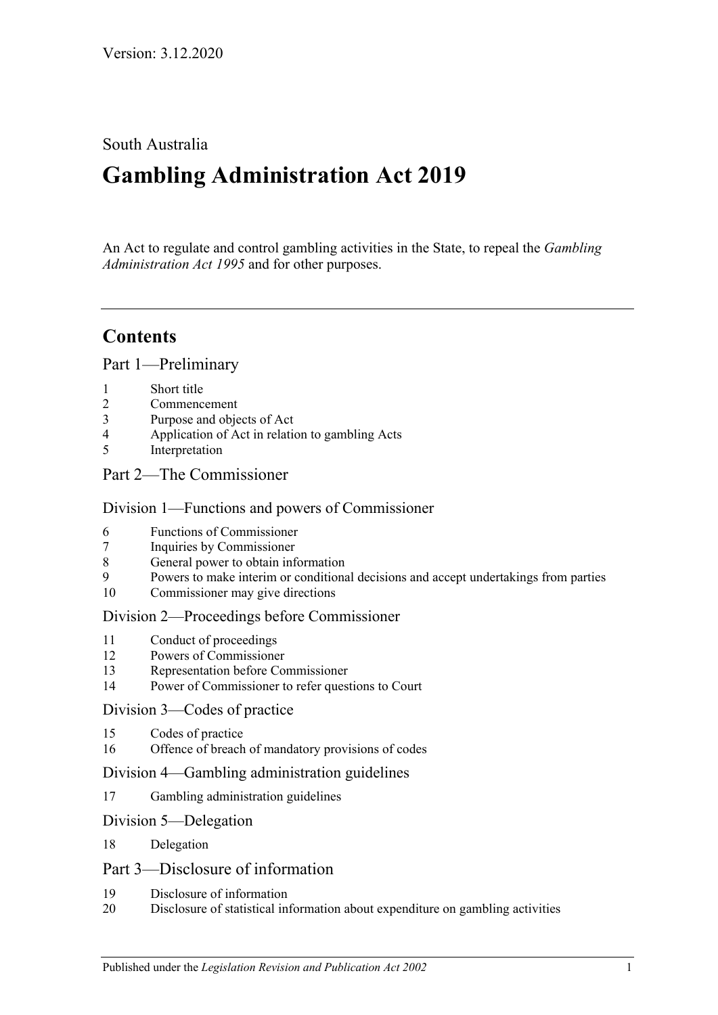### South Australia

# **Gambling Administration Act 2019**

An Act to regulate and control gambling activities in the State, to repeal the *[Gambling](http://www.legislation.sa.gov.au/index.aspx?action=legref&type=act&legtitle=Gambling%20Administration%20Act%201995)  [Administration Act](http://www.legislation.sa.gov.au/index.aspx?action=legref&type=act&legtitle=Gambling%20Administration%20Act%201995) 1995* and for other purposes.

## **Contents**

Part [1—Preliminary](#page-2-0)

- 1 [Short title](#page-2-1)
- 2 [Commencement](#page-2-2)
- 3 [Purpose and objects of Act](#page-2-3)
- 4 [Application of Act in relation to gambling Acts](#page-3-0)
- 5 [Interpretation](#page-3-1)
- Part [2—The Commissioner](#page-4-0)

### Division [1—Functions and powers of Commissioner](#page-4-1)

- 6 [Functions of Commissioner](#page-4-2)
- 7 [Inquiries by Commissioner](#page-5-0)
- 8 [General power to obtain information](#page-5-1)
- 9 [Powers to make interim or conditional decisions and accept undertakings from parties](#page-6-0)
- 10 [Commissioner may give directions](#page-6-1)

### Division [2—Proceedings before Commissioner](#page-7-0)

- 11 [Conduct of proceedings](#page-7-1)<br>12 Powers of Commissione
- [Powers of Commissioner](#page-7-2)
- 13 [Representation before Commissioner](#page-8-0)
- 14 [Power of Commissioner to refer questions to Court](#page-9-0)

#### Division [3—Codes of practice](#page-9-1)

- 15 [Codes of practice](#page-9-2)
- 16 [Offence of breach of mandatory provisions of codes](#page-12-0)

#### Division [4—Gambling administration guidelines](#page-12-1)

17 [Gambling administration guidelines](#page-12-2)

#### Division [5—Delegation](#page-13-0)

18 [Delegation](#page-13-1)

### Part [3—Disclosure of information](#page-14-0)

- 19 [Disclosure of information](#page-14-1)
- 20 [Disclosure of statistical information about expenditure on gambling activities](#page-15-0)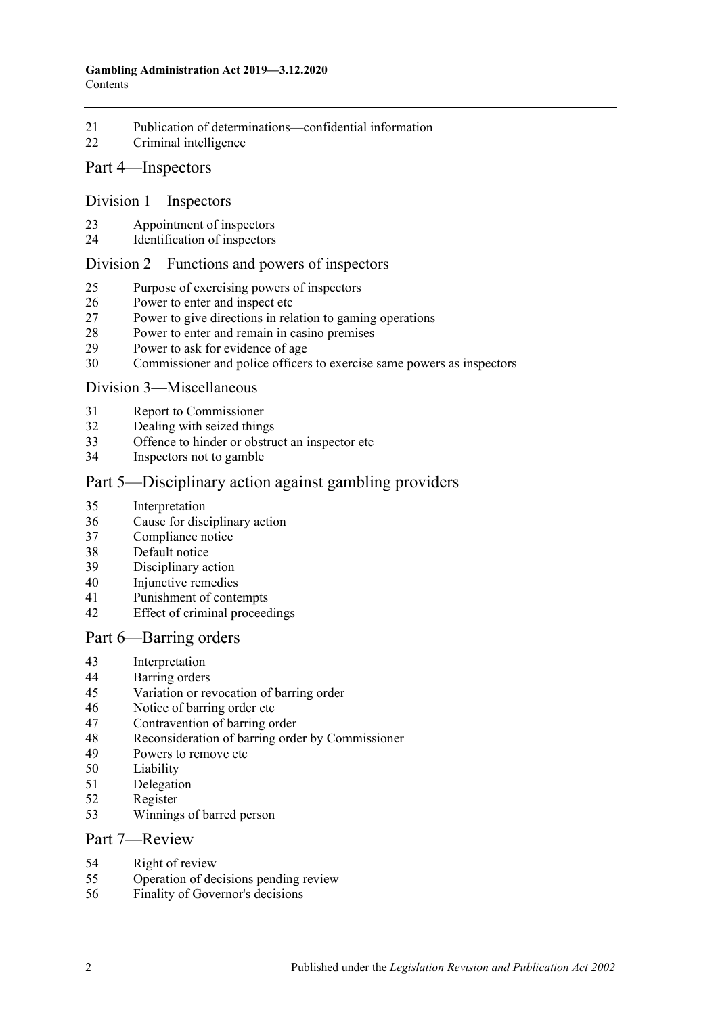- [Publication of determinations—confidential information](#page-15-1)
- [Criminal intelligence](#page-16-0)

### Part [4—Inspectors](#page-16-1)

#### Division [1—Inspectors](#page-16-2)

- [Appointment of inspectors](#page-16-3)
- [Identification of inspectors](#page-17-0)

#### Division [2—Functions and powers of inspectors](#page-17-1)

- [Purpose of exercising powers of inspectors](#page-17-2)
- [Power to enter and inspect etc](#page-17-3)
- [Power to give directions in relation to gaming operations](#page-19-0)
- [Power to enter and remain in casino premises](#page-19-1)
- [Power to ask for evidence of age](#page-19-2)
- [Commissioner and police officers to exercise same powers as inspectors](#page-19-3)

#### Division [3—Miscellaneous](#page-20-0)

- [Report to Commissioner](#page-20-1)
- [Dealing with seized things](#page-20-2)
- [Offence to hinder or obstruct an inspector etc](#page-21-0)
- [Inspectors not to gamble](#page-21-1)

### Part [5—Disciplinary action against gambling providers](#page-21-2)

- [Interpretation](#page-21-3)
- [Cause for disciplinary action](#page-22-0)
- [Compliance notice](#page-23-0)
- [Default notice](#page-24-0)
- [Disciplinary action](#page-24-1)
- [Injunctive remedies](#page-25-0)
- [Punishment of contempts](#page-26-0)
- [Effect of criminal proceedings](#page-26-1)

#### Part [6—Barring orders](#page-26-2)

- [Interpretation](#page-26-3)
- [Barring orders](#page-27-0)<br>45 Variation or re
- [Variation or revocation of barring order](#page-28-0)
- [Notice of barring order etc](#page-28-1)
- [Contravention of barring order](#page-29-0)
- [Reconsideration of barring order by Commissioner](#page-29-1)
- [Powers to remove etc](#page-30-0)
- [Liability](#page-30-1)
- [Delegation](#page-30-2)
- [Register](#page-30-3)
- [Winnings of barred person](#page-31-0)

#### Part [7—Review](#page-31-1)

- [Right of review](#page-31-2)
- [Operation of decisions pending review](#page-32-0)
- [Finality of Governor's decisions](#page-32-1)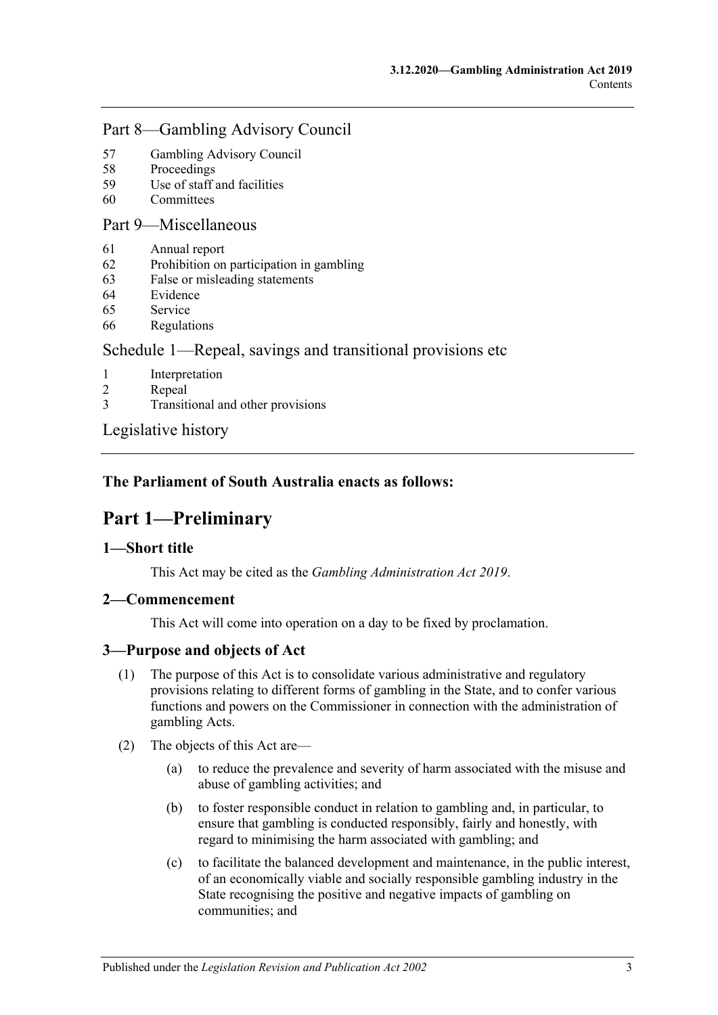### Part [8—Gambling Advisory Council](#page-32-2)

- 57 [Gambling Advisory Council](#page-32-3)
- 58 [Proceedings](#page-33-0)
- 59 [Use of staff and facilities](#page-33-1)
- 60 [Committees](#page-33-2)

### Part [9—Miscellaneous](#page-33-3)

- 61 [Annual report](#page-33-4)
- 62 [Prohibition on participation in gambling](#page-34-0)
- 63 [False or misleading statements](#page-34-1)
- 64 [Evidence](#page-34-2)
- 65 [Service](#page-34-3)
- 66 [Regulations](#page-35-0)

### Schedule 1—Repeal, savings [and transitional provisions etc](#page-36-0)

- 1 [Interpretation](#page-36-1)
- 2 [Repeal](#page-36-2)
- 3 [Transitional and other provisions](#page-36-3)

[Legislative history](#page-38-0)

### <span id="page-2-0"></span>**The Parliament of South Australia enacts as follows:**

# **Part 1—Preliminary**

### <span id="page-2-1"></span>**1—Short title**

This Act may be cited as the *Gambling Administration Act 2019*.

### <span id="page-2-2"></span>**2—Commencement**

This Act will come into operation on a day to be fixed by proclamation.

### <span id="page-2-3"></span>**3—Purpose and objects of Act**

- (1) The purpose of this Act is to consolidate various administrative and regulatory provisions relating to different forms of gambling in the State, and to confer various functions and powers on the Commissioner in connection with the administration of gambling Acts.
- <span id="page-2-4"></span>(2) The objects of this Act are—
	- (a) to reduce the prevalence and severity of harm associated with the misuse and abuse of gambling activities; and
	- (b) to foster responsible conduct in relation to gambling and, in particular, to ensure that gambling is conducted responsibly, fairly and honestly, with regard to minimising the harm associated with gambling; and
	- (c) to facilitate the balanced development and maintenance, in the public interest, of an economically viable and socially responsible gambling industry in the State recognising the positive and negative impacts of gambling on communities; and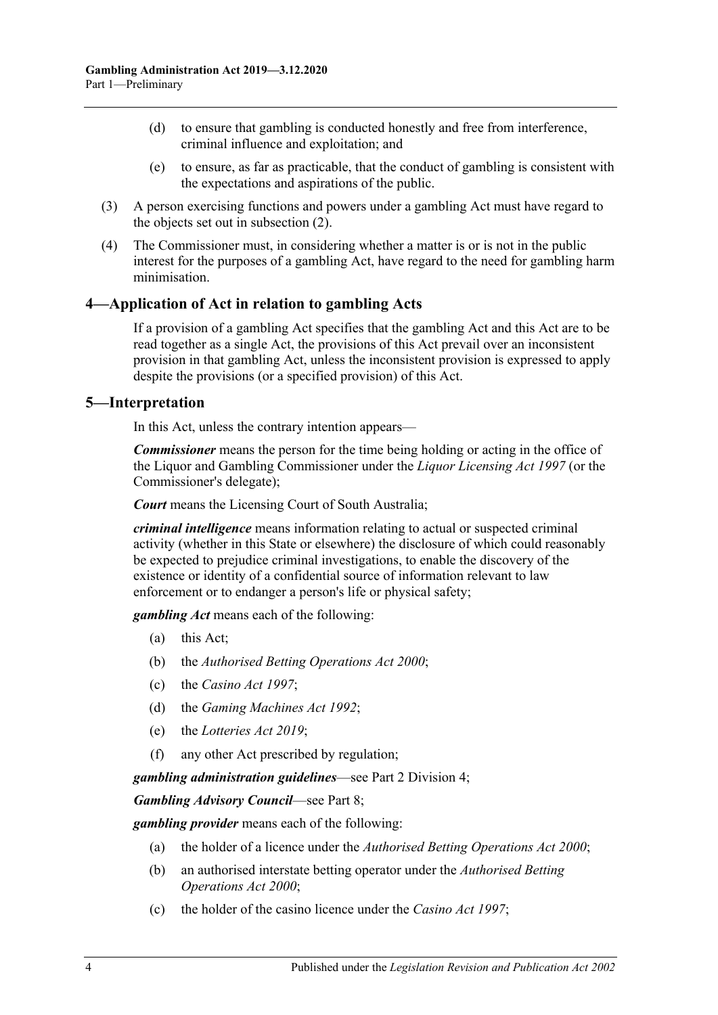- (d) to ensure that gambling is conducted honestly and free from interference, criminal influence and exploitation; and
- (e) to ensure, as far as practicable, that the conduct of gambling is consistent with the expectations and aspirations of the public.
- (3) A person exercising functions and powers under a gambling Act must have regard to the objects set out in [subsection](#page-2-4) (2).
- (4) The Commissioner must, in considering whether a matter is or is not in the public interest for the purposes of a gambling Act, have regard to the need for gambling harm minimisation.

### <span id="page-3-0"></span>**4—Application of Act in relation to gambling Acts**

If a provision of a gambling Act specifies that the gambling Act and this Act are to be read together as a single Act, the provisions of this Act prevail over an inconsistent provision in that gambling Act, unless the inconsistent provision is expressed to apply despite the provisions (or a specified provision) of this Act.

### <span id="page-3-1"></span>**5—Interpretation**

In this Act, unless the contrary intention appears—

*Commissioner* means the person for the time being holding or acting in the office of the Liquor and Gambling Commissioner under the *[Liquor Licensing Act](http://www.legislation.sa.gov.au/index.aspx?action=legref&type=act&legtitle=Liquor%20Licensing%20Act%201997) 1997* (or the Commissioner's delegate);

*Court* means the Licensing Court of South Australia;

*criminal intelligence* means information relating to actual or suspected criminal activity (whether in this State or elsewhere) the disclosure of which could reasonably be expected to prejudice criminal investigations, to enable the discovery of the existence or identity of a confidential source of information relevant to law enforcement or to endanger a person's life or physical safety;

*gambling Act* means each of the following:

- (a) this Act;
- (b) the *[Authorised Betting Operations Act](http://www.legislation.sa.gov.au/index.aspx?action=legref&type=act&legtitle=Authorised%20Betting%20Operations%20Act%202000) 2000*;
- (c) the *[Casino Act](http://www.legislation.sa.gov.au/index.aspx?action=legref&type=act&legtitle=Casino%20Act%201997) 1997*;
- (d) the *[Gaming Machines Act](http://www.legislation.sa.gov.au/index.aspx?action=legref&type=act&legtitle=Gaming%20Machines%20Act%201992) 1992*;
- (e) the *[Lotteries Act 2019](http://www.legislation.sa.gov.au/index.aspx?action=legref&type=act&legtitle=Lotteries%20Act%202019)*;
- (f) any other Act prescribed by regulation;

*gambling administration guidelines*—see Part [2 Division](#page-12-1) 4;

*Gambling Advisory Council*—see [Part](#page-32-2) 8;

*gambling provider* means each of the following:

- (a) the holder of a licence under the *[Authorised Betting Operations Act](http://www.legislation.sa.gov.au/index.aspx?action=legref&type=act&legtitle=Authorised%20Betting%20Operations%20Act%202000) 2000*;
- (b) an authorised interstate betting operator under the *[Authorised Betting](http://www.legislation.sa.gov.au/index.aspx?action=legref&type=act&legtitle=Authorised%20Betting%20Operations%20Act%202000)  [Operations Act](http://www.legislation.sa.gov.au/index.aspx?action=legref&type=act&legtitle=Authorised%20Betting%20Operations%20Act%202000) 2000*;
- (c) the holder of the casino licence under the *[Casino Act](http://www.legislation.sa.gov.au/index.aspx?action=legref&type=act&legtitle=Casino%20Act%201997) 1997*;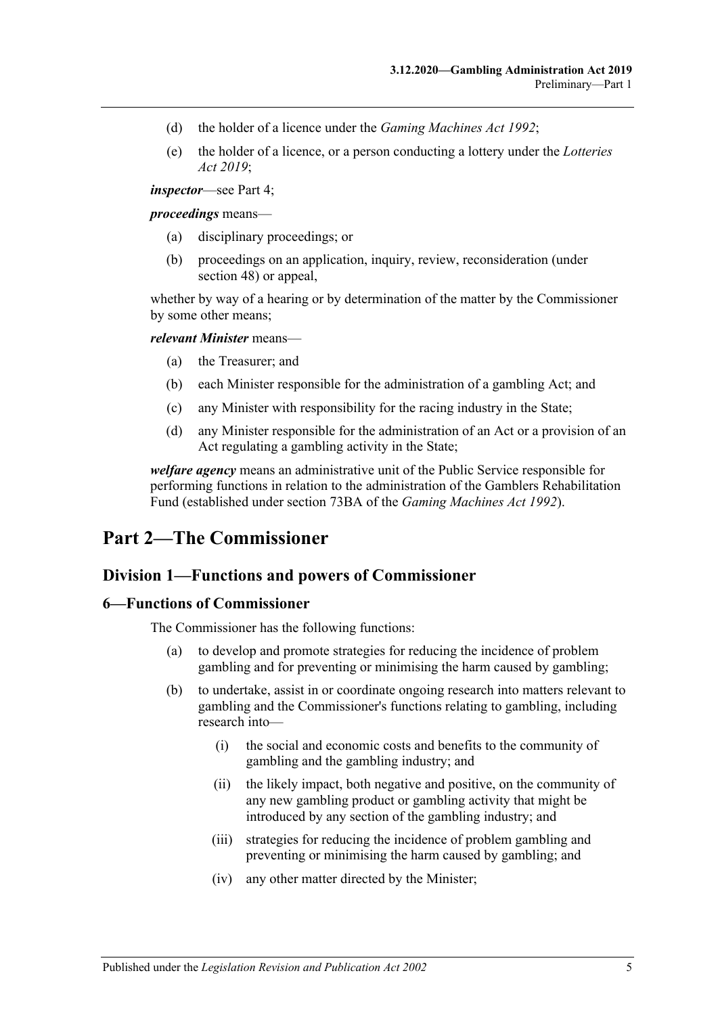- (d) the holder of a licence under the *[Gaming Machines Act](http://www.legislation.sa.gov.au/index.aspx?action=legref&type=act&legtitle=Gaming%20Machines%20Act%201992) 1992*;
- (e) the holder of a licence, or a person conducting a lottery under the *[Lotteries](http://www.legislation.sa.gov.au/index.aspx?action=legref&type=act&legtitle=Lotteries%20Act%202019)  Act [2019](http://www.legislation.sa.gov.au/index.aspx?action=legref&type=act&legtitle=Lotteries%20Act%202019)*;

*inspector*—see [Part](#page-16-1) 4;

#### *proceedings* means—

- (a) disciplinary proceedings; or
- (b) proceedings on an application, inquiry, review, reconsideration (under [section](#page-29-1) 48) or appeal,

whether by way of a hearing or by determination of the matter by the Commissioner by some other means;

#### *relevant Minister* means—

- (a) the Treasurer; and
- (b) each Minister responsible for the administration of a gambling Act; and
- (c) any Minister with responsibility for the racing industry in the State;
- (d) any Minister responsible for the administration of an Act or a provision of an Act regulating a gambling activity in the State;

*welfare agency* means an administrative unit of the Public Service responsible for performing functions in relation to the administration of the Gamblers Rehabilitation Fund (established under section 73BA of the *[Gaming Machines Act](http://www.legislation.sa.gov.au/index.aspx?action=legref&type=act&legtitle=Gaming%20Machines%20Act%201992) 1992*).

## <span id="page-4-1"></span><span id="page-4-0"></span>**Part 2—The Commissioner**

### **Division 1—Functions and powers of Commissioner**

#### <span id="page-4-2"></span>**6—Functions of Commissioner**

The Commissioner has the following functions:

- (a) to develop and promote strategies for reducing the incidence of problem gambling and for preventing or minimising the harm caused by gambling;
- (b) to undertake, assist in or coordinate ongoing research into matters relevant to gambling and the Commissioner's functions relating to gambling, including research into—
	- (i) the social and economic costs and benefits to the community of gambling and the gambling industry; and
	- (ii) the likely impact, both negative and positive, on the community of any new gambling product or gambling activity that might be introduced by any section of the gambling industry; and
	- (iii) strategies for reducing the incidence of problem gambling and preventing or minimising the harm caused by gambling; and
	- (iv) any other matter directed by the Minister;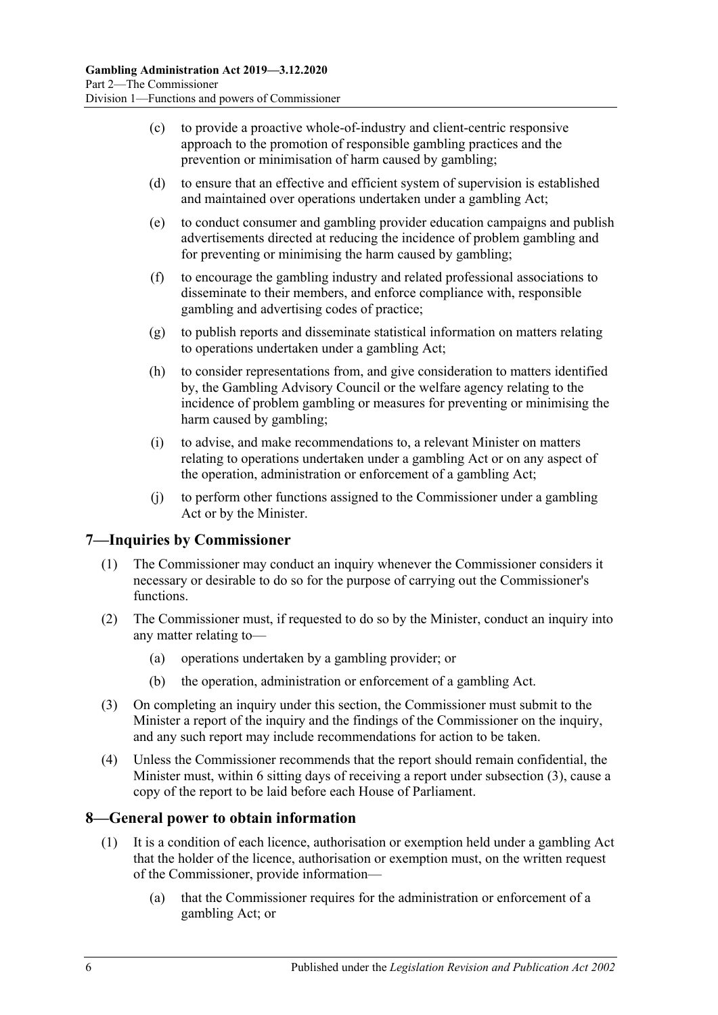- (c) to provide a proactive whole-of-industry and client-centric responsive approach to the promotion of responsible gambling practices and the prevention or minimisation of harm caused by gambling;
- (d) to ensure that an effective and efficient system of supervision is established and maintained over operations undertaken under a gambling Act;
- (e) to conduct consumer and gambling provider education campaigns and publish advertisements directed at reducing the incidence of problem gambling and for preventing or minimising the harm caused by gambling;
- (f) to encourage the gambling industry and related professional associations to disseminate to their members, and enforce compliance with, responsible gambling and advertising codes of practice;
- (g) to publish reports and disseminate statistical information on matters relating to operations undertaken under a gambling Act;
- (h) to consider representations from, and give consideration to matters identified by, the Gambling Advisory Council or the welfare agency relating to the incidence of problem gambling or measures for preventing or minimising the harm caused by gambling;
- (i) to advise, and make recommendations to, a relevant Minister on matters relating to operations undertaken under a gambling Act or on any aspect of the operation, administration or enforcement of a gambling Act;
- (j) to perform other functions assigned to the Commissioner under a gambling Act or by the Minister.

### <span id="page-5-0"></span>**7—Inquiries by Commissioner**

- (1) The Commissioner may conduct an inquiry whenever the Commissioner considers it necessary or desirable to do so for the purpose of carrying out the Commissioner's functions.
- (2) The Commissioner must, if requested to do so by the Minister, conduct an inquiry into any matter relating to—
	- (a) operations undertaken by a gambling provider; or
	- (b) the operation, administration or enforcement of a gambling Act.
- <span id="page-5-2"></span>(3) On completing an inquiry under this section, the Commissioner must submit to the Minister a report of the inquiry and the findings of the Commissioner on the inquiry, and any such report may include recommendations for action to be taken.
- (4) Unless the Commissioner recommends that the report should remain confidential, the Minister must, within 6 sitting days of receiving a report under [subsection](#page-5-2) (3), cause a copy of the report to be laid before each House of Parliament.

### <span id="page-5-1"></span>**8—General power to obtain information**

- (1) It is a condition of each licence, authorisation or exemption held under a gambling Act that the holder of the licence, authorisation or exemption must, on the written request of the Commissioner, provide information—
	- (a) that the Commissioner requires for the administration or enforcement of a gambling Act; or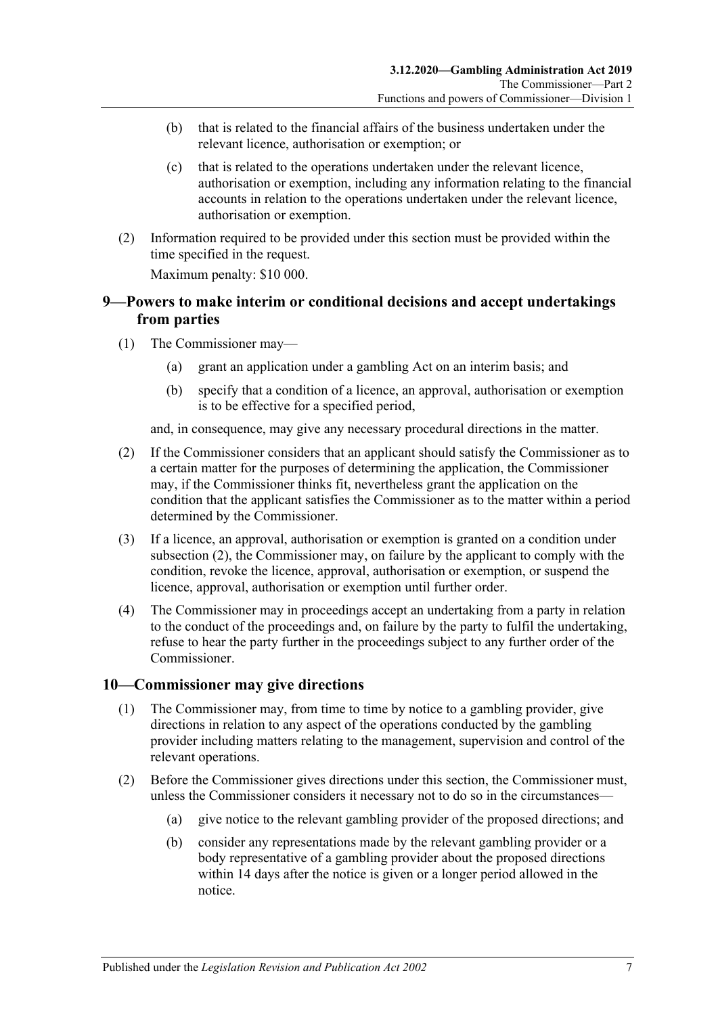- (b) that is related to the financial affairs of the business undertaken under the relevant licence, authorisation or exemption; or
- (c) that is related to the operations undertaken under the relevant licence, authorisation or exemption, including any information relating to the financial accounts in relation to the operations undertaken under the relevant licence, authorisation or exemption.
- (2) Information required to be provided under this section must be provided within the time specified in the request.

Maximum penalty: \$10 000.

### <span id="page-6-0"></span>**9—Powers to make interim or conditional decisions and accept undertakings from parties**

- (1) The Commissioner may—
	- (a) grant an application under a gambling Act on an interim basis; and
	- (b) specify that a condition of a licence, an approval, authorisation or exemption is to be effective for a specified period,

and, in consequence, may give any necessary procedural directions in the matter.

- <span id="page-6-2"></span>(2) If the Commissioner considers that an applicant should satisfy the Commissioner as to a certain matter for the purposes of determining the application, the Commissioner may, if the Commissioner thinks fit, nevertheless grant the application on the condition that the applicant satisfies the Commissioner as to the matter within a period determined by the Commissioner.
- (3) If a licence, an approval, authorisation or exemption is granted on a condition under [subsection](#page-6-2) (2), the Commissioner may, on failure by the applicant to comply with the condition, revoke the licence, approval, authorisation or exemption, or suspend the licence, approval, authorisation or exemption until further order.
- (4) The Commissioner may in proceedings accept an undertaking from a party in relation to the conduct of the proceedings and, on failure by the party to fulfil the undertaking, refuse to hear the party further in the proceedings subject to any further order of the Commissioner.

### <span id="page-6-1"></span>**10—Commissioner may give directions**

- (1) The Commissioner may, from time to time by notice to a gambling provider, give directions in relation to any aspect of the operations conducted by the gambling provider including matters relating to the management, supervision and control of the relevant operations.
- (2) Before the Commissioner gives directions under this section, the Commissioner must, unless the Commissioner considers it necessary not to do so in the circumstances—
	- (a) give notice to the relevant gambling provider of the proposed directions; and
	- (b) consider any representations made by the relevant gambling provider or a body representative of a gambling provider about the proposed directions within 14 days after the notice is given or a longer period allowed in the notice.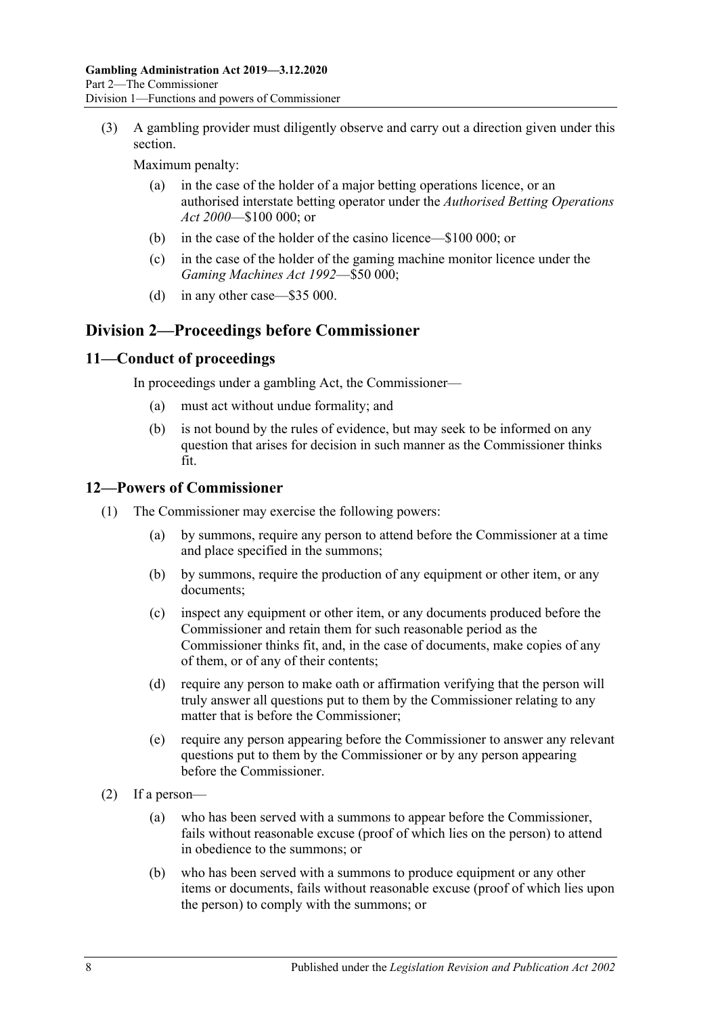(3) A gambling provider must diligently observe and carry out a direction given under this section.

Maximum penalty:

- (a) in the case of the holder of a major betting operations licence, or an authorised interstate betting operator under the *[Authorised Betting Operations](http://www.legislation.sa.gov.au/index.aspx?action=legref&type=act&legtitle=Authorised%20Betting%20Operations%20Act%202000)  Act [2000](http://www.legislation.sa.gov.au/index.aspx?action=legref&type=act&legtitle=Authorised%20Betting%20Operations%20Act%202000)*—\$100 000; or
- (b) in the case of the holder of the casino licence—\$100 000; or
- (c) in the case of the holder of the gaming machine monitor licence under the *[Gaming Machines Act](http://www.legislation.sa.gov.au/index.aspx?action=legref&type=act&legtitle=Gaming%20Machines%20Act%201992) 1992*—\$50 000;
- (d) in any other case—\$35 000.

### <span id="page-7-0"></span>**Division 2—Proceedings before Commissioner**

### <span id="page-7-1"></span>**11—Conduct of proceedings**

In proceedings under a gambling Act, the Commissioner—

- (a) must act without undue formality; and
- (b) is not bound by the rules of evidence, but may seek to be informed on any question that arises for decision in such manner as the Commissioner thinks fit.

### <span id="page-7-2"></span>**12—Powers of Commissioner**

- (1) The Commissioner may exercise the following powers:
	- (a) by summons, require any person to attend before the Commissioner at a time and place specified in the summons;
	- (b) by summons, require the production of any equipment or other item, or any documents;
	- (c) inspect any equipment or other item, or any documents produced before the Commissioner and retain them for such reasonable period as the Commissioner thinks fit, and, in the case of documents, make copies of any of them, or of any of their contents;
	- (d) require any person to make oath or affirmation verifying that the person will truly answer all questions put to them by the Commissioner relating to any matter that is before the Commissioner;
	- (e) require any person appearing before the Commissioner to answer any relevant questions put to them by the Commissioner or by any person appearing before the Commissioner.
- (2) If a person—
	- (a) who has been served with a summons to appear before the Commissioner, fails without reasonable excuse (proof of which lies on the person) to attend in obedience to the summons; or
	- (b) who has been served with a summons to produce equipment or any other items or documents, fails without reasonable excuse (proof of which lies upon the person) to comply with the summons; or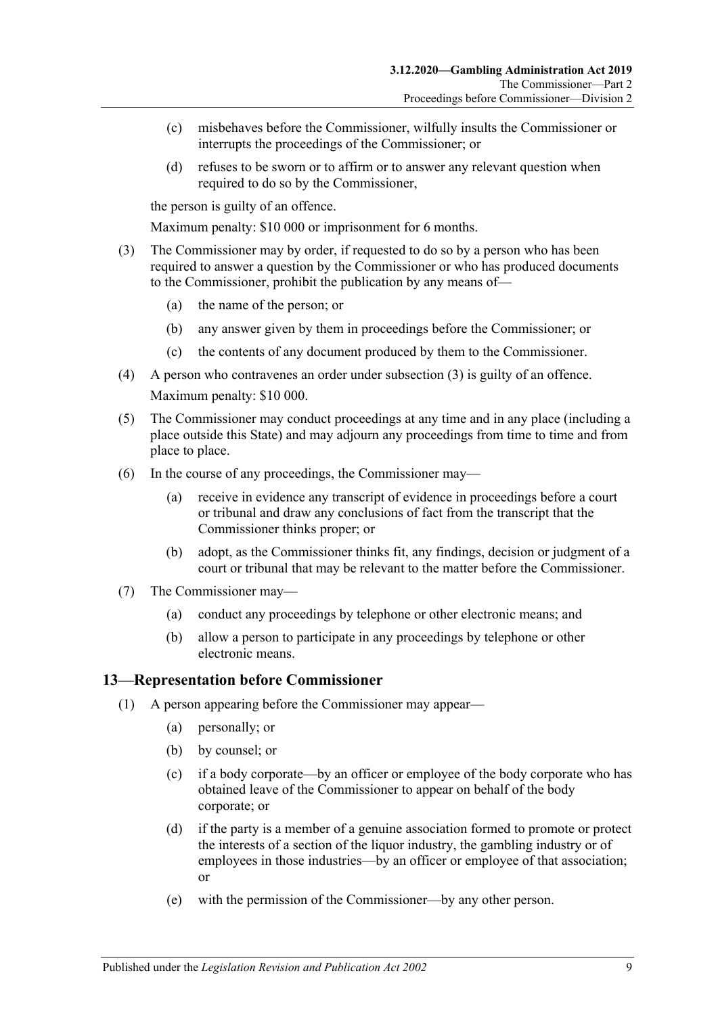- (c) misbehaves before the Commissioner, wilfully insults the Commissioner or interrupts the proceedings of the Commissioner; or
- (d) refuses to be sworn or to affirm or to answer any relevant question when required to do so by the Commissioner,

the person is guilty of an offence.

Maximum penalty: \$10 000 or imprisonment for 6 months.

- <span id="page-8-1"></span>(3) The Commissioner may by order, if requested to do so by a person who has been required to answer a question by the Commissioner or who has produced documents to the Commissioner, prohibit the publication by any means of—
	- (a) the name of the person; or
	- (b) any answer given by them in proceedings before the Commissioner; or
	- (c) the contents of any document produced by them to the Commissioner.
- (4) A person who contravenes an order under [subsection](#page-8-1) (3) is guilty of an offence. Maximum penalty: \$10 000.
- (5) The Commissioner may conduct proceedings at any time and in any place (including a place outside this State) and may adjourn any proceedings from time to time and from place to place.
- (6) In the course of any proceedings, the Commissioner may—
	- (a) receive in evidence any transcript of evidence in proceedings before a court or tribunal and draw any conclusions of fact from the transcript that the Commissioner thinks proper; or
	- (b) adopt, as the Commissioner thinks fit, any findings, decision or judgment of a court or tribunal that may be relevant to the matter before the Commissioner.
- (7) The Commissioner may—
	- (a) conduct any proceedings by telephone or other electronic means; and
	- (b) allow a person to participate in any proceedings by telephone or other electronic means.

#### <span id="page-8-0"></span>**13—Representation before Commissioner**

- (1) A person appearing before the Commissioner may appear—
	- (a) personally; or
	- (b) by counsel; or
	- (c) if a body corporate—by an officer or employee of the body corporate who has obtained leave of the Commissioner to appear on behalf of the body corporate; or
	- (d) if the party is a member of a genuine association formed to promote or protect the interests of a section of the liquor industry, the gambling industry or of employees in those industries—by an officer or employee of that association; or
	- (e) with the permission of the Commissioner—by any other person.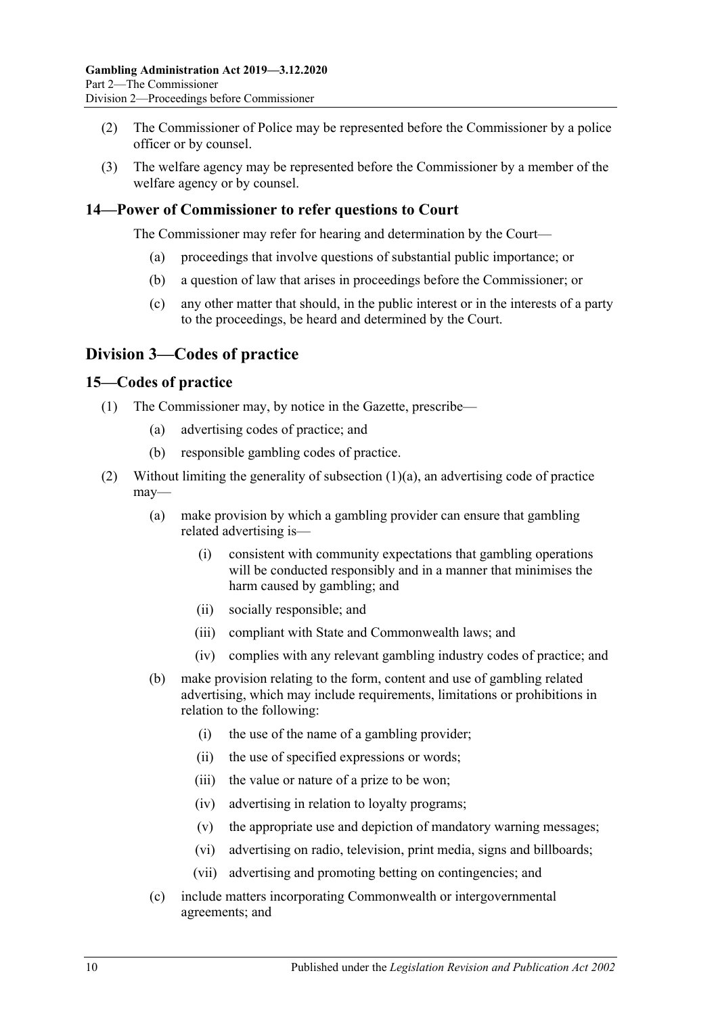- (2) The Commissioner of Police may be represented before the Commissioner by a police officer or by counsel.
- (3) The welfare agency may be represented before the Commissioner by a member of the welfare agency or by counsel.

### <span id="page-9-0"></span>**14—Power of Commissioner to refer questions to Court**

The Commissioner may refer for hearing and determination by the Court—

- (a) proceedings that involve questions of substantial public importance; or
- (b) a question of law that arises in proceedings before the Commissioner; or
- (c) any other matter that should, in the public interest or in the interests of a party to the proceedings, be heard and determined by the Court.

### <span id="page-9-1"></span>**Division 3—Codes of practice**

### <span id="page-9-2"></span>**15—Codes of practice**

- <span id="page-9-3"></span>(1) The Commissioner may, by notice in the Gazette, prescribe—
	- (a) advertising codes of practice; and
	- (b) responsible gambling codes of practice.
- <span id="page-9-4"></span>(2) Without limiting the generality of [subsection](#page-9-3)  $(1)(a)$ , an advertising code of practice may—
	- (a) make provision by which a gambling provider can ensure that gambling related advertising is—
		- (i) consistent with community expectations that gambling operations will be conducted responsibly and in a manner that minimises the harm caused by gambling; and
		- (ii) socially responsible; and
		- (iii) compliant with State and Commonwealth laws; and
		- (iv) complies with any relevant gambling industry codes of practice; and
	- (b) make provision relating to the form, content and use of gambling related advertising, which may include requirements, limitations or prohibitions in relation to the following:
		- (i) the use of the name of a gambling provider;
		- (ii) the use of specified expressions or words;
		- (iii) the value or nature of a prize to be won;
		- (iv) advertising in relation to loyalty programs;
		- (v) the appropriate use and depiction of mandatory warning messages;
		- (vi) advertising on radio, television, print media, signs and billboards;
		- (vii) advertising and promoting betting on contingencies; and
	- (c) include matters incorporating Commonwealth or intergovernmental agreements; and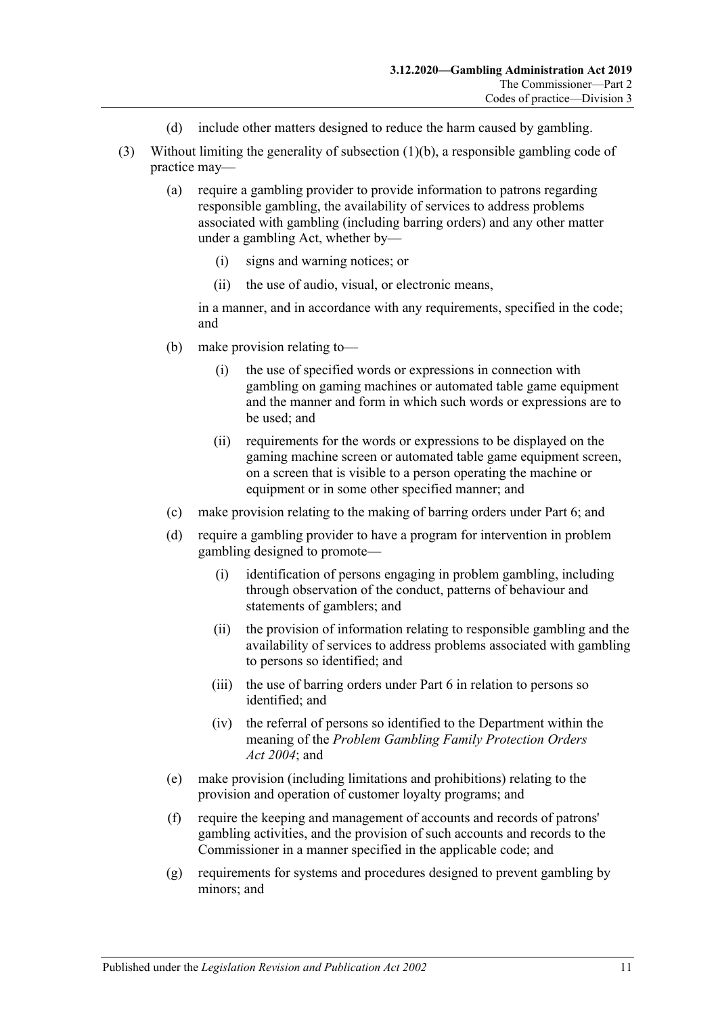- (d) include other matters designed to reduce the harm caused by gambling.
- (3) Without limiting the generality of [subsection](#page-9-4) (1)(b), a responsible gambling code of practice may—
	- (a) require a gambling provider to provide information to patrons regarding responsible gambling, the availability of services to address problems associated with gambling (including barring orders) and any other matter under a gambling Act, whether by—
		- (i) signs and warning notices; or
		- (ii) the use of audio, visual, or electronic means,

in a manner, and in accordance with any requirements, specified in the code; and

- (b) make provision relating to—
	- (i) the use of specified words or expressions in connection with gambling on gaming machines or automated table game equipment and the manner and form in which such words or expressions are to be used; and
	- (ii) requirements for the words or expressions to be displayed on the gaming machine screen or automated table game equipment screen, on a screen that is visible to a person operating the machine or equipment or in some other specified manner; and
- (c) make provision relating to the making of barring orders under [Part](#page-26-2) 6; and
- (d) require a gambling provider to have a program for intervention in problem gambling designed to promote—
	- (i) identification of persons engaging in problem gambling, including through observation of the conduct, patterns of behaviour and statements of gamblers; and
	- (ii) the provision of information relating to responsible gambling and the availability of services to address problems associated with gambling to persons so identified; and
	- (iii) the use of barring orders under [Part](#page-26-2) 6 in relation to persons so identified; and
	- (iv) the referral of persons so identified to the Department within the meaning of the *[Problem Gambling Family Protection Orders](http://www.legislation.sa.gov.au/index.aspx?action=legref&type=act&legtitle=Problem%20Gambling%20Family%20Protection%20Orders%20Act%202004)  Act [2004](http://www.legislation.sa.gov.au/index.aspx?action=legref&type=act&legtitle=Problem%20Gambling%20Family%20Protection%20Orders%20Act%202004)*; and
- (e) make provision (including limitations and prohibitions) relating to the provision and operation of customer loyalty programs; and
- (f) require the keeping and management of accounts and records of patrons' gambling activities, and the provision of such accounts and records to the Commissioner in a manner specified in the applicable code; and
- (g) requirements for systems and procedures designed to prevent gambling by minors; and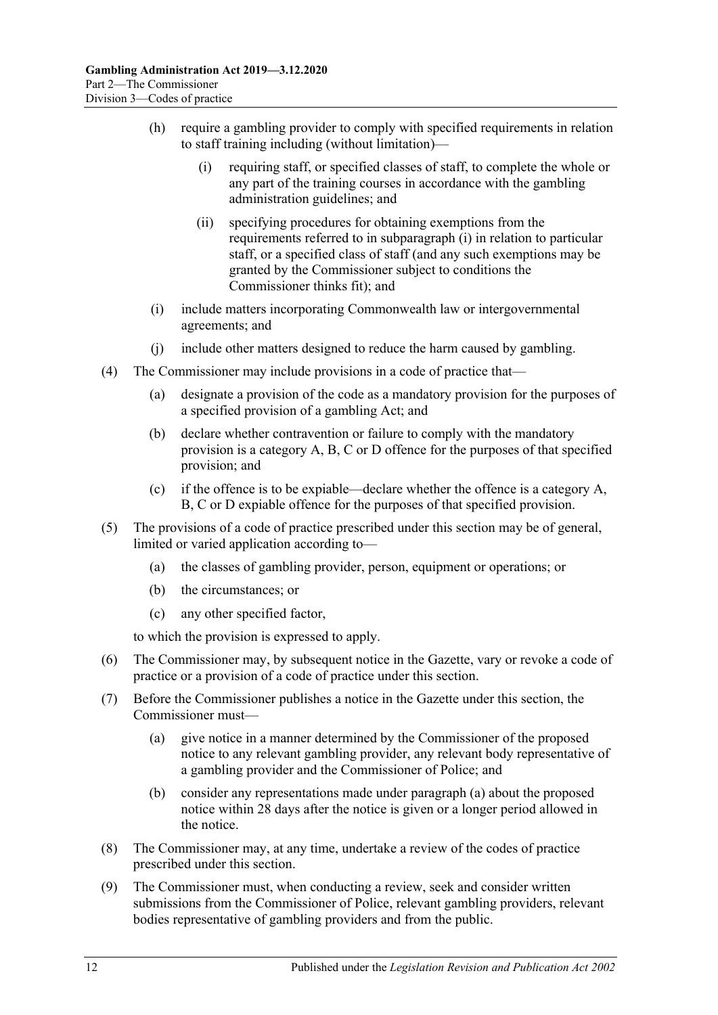- <span id="page-11-0"></span>(h) require a gambling provider to comply with specified requirements in relation to staff training including (without limitation)—
	- (i) requiring staff, or specified classes of staff, to complete the whole or any part of the training courses in accordance with the gambling administration guidelines; and
	- (ii) specifying procedures for obtaining exemptions from the requirements referred to in [subparagraph](#page-11-0) (i) in relation to particular staff, or a specified class of staff (and any such exemptions may be granted by the Commissioner subject to conditions the Commissioner thinks fit); and
- (i) include matters incorporating Commonwealth law or intergovernmental agreements; and
- (j) include other matters designed to reduce the harm caused by gambling.
- <span id="page-11-2"></span>(4) The Commissioner may include provisions in a code of practice that—
	- (a) designate a provision of the code as a mandatory provision for the purposes of a specified provision of a gambling Act; and
	- (b) declare whether contravention or failure to comply with the mandatory provision is a category A, B, C or D offence for the purposes of that specified provision; and
	- (c) if the offence is to be expiable—declare whether the offence is a category A, B, C or D expiable offence for the purposes of that specified provision.
- (5) The provisions of a code of practice prescribed under this section may be of general, limited or varied application according to—
	- (a) the classes of gambling provider, person, equipment or operations; or
	- (b) the circumstances; or
	- (c) any other specified factor,

to which the provision is expressed to apply.

- (6) The Commissioner may, by subsequent notice in the Gazette, vary or revoke a code of practice or a provision of a code of practice under this section.
- <span id="page-11-1"></span>(7) Before the Commissioner publishes a notice in the Gazette under this section, the Commissioner must—
	- (a) give notice in a manner determined by the Commissioner of the proposed notice to any relevant gambling provider, any relevant body representative of a gambling provider and the Commissioner of Police; and
	- (b) consider any representations made under [paragraph](#page-11-1) (a) about the proposed notice within 28 days after the notice is given or a longer period allowed in the notice.
- (8) The Commissioner may, at any time, undertake a review of the codes of practice prescribed under this section.
- (9) The Commissioner must, when conducting a review, seek and consider written submissions from the Commissioner of Police, relevant gambling providers, relevant bodies representative of gambling providers and from the public.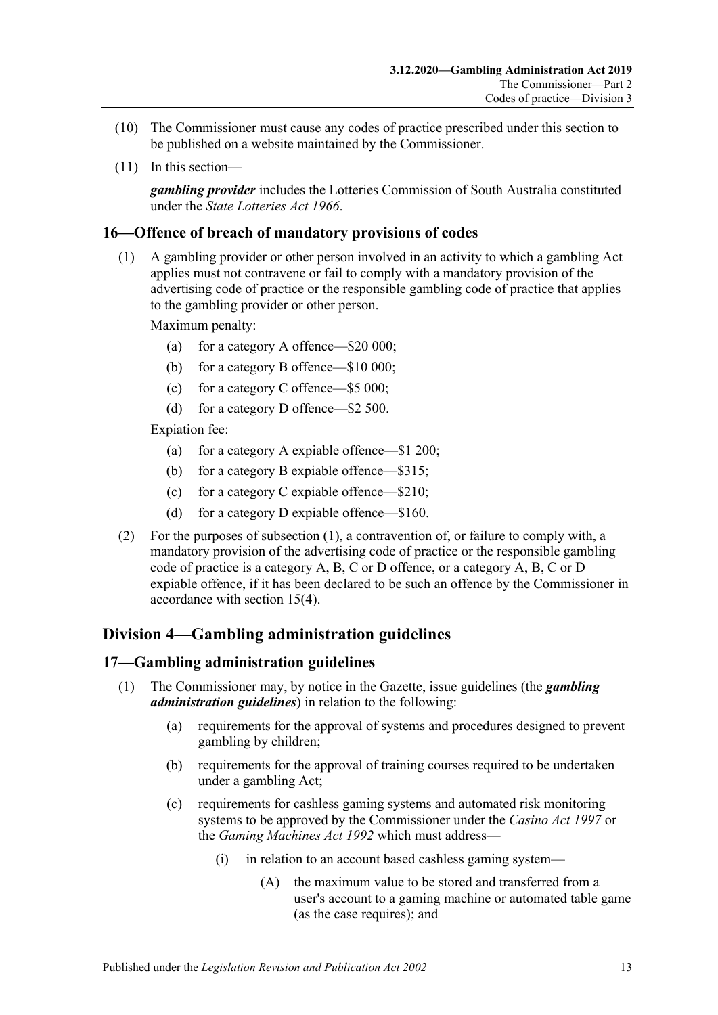- (10) The Commissioner must cause any codes of practice prescribed under this section to be published on a website maintained by the Commissioner.
- (11) In this section—

*gambling provider* includes the Lotteries Commission of South Australia constituted under the *[State Lotteries Act](http://www.legislation.sa.gov.au/index.aspx?action=legref&type=act&legtitle=State%20Lotteries%20Act%201966) 1966*.

### <span id="page-12-3"></span><span id="page-12-0"></span>**16—Offence of breach of mandatory provisions of codes**

(1) A gambling provider or other person involved in an activity to which a gambling Act applies must not contravene or fail to comply with a mandatory provision of the advertising code of practice or the responsible gambling code of practice that applies to the gambling provider or other person.

Maximum penalty:

- (a) for a category A offence—\$20 000;
- (b) for a category B offence—\$10 000;
- (c) for a category C offence—\$5 000;
- (d) for a category D offence—\$2 500.

Expiation fee:

- (a) for a category A expiable offence—\$1 200;
- (b) for a category B expiable offence—\$315;
- (c) for a category C expiable offence—\$210;
- (d) for a category D expiable offence—\$160.
- (2) For the purposes of [subsection](#page-12-3) (1), a contravention of, or failure to comply with, a mandatory provision of the advertising code of practice or the responsible gambling code of practice is a category A, B, C or D offence, or a category A, B, C or D expiable offence, if it has been declared to be such an offence by the Commissioner in accordance with [section](#page-11-2) 15(4).

### <span id="page-12-1"></span>**Division 4—Gambling administration guidelines**

#### <span id="page-12-2"></span>**17—Gambling administration guidelines**

- (1) The Commissioner may, by notice in the Gazette, issue guidelines (the *gambling administration guidelines*) in relation to the following:
	- (a) requirements for the approval of systems and procedures designed to prevent gambling by children;
	- (b) requirements for the approval of training courses required to be undertaken under a gambling Act;
	- (c) requirements for cashless gaming systems and automated risk monitoring systems to be approved by the Commissioner under the *[Casino Act](http://www.legislation.sa.gov.au/index.aspx?action=legref&type=act&legtitle=Casino%20Act%201997) 1997* or the *[Gaming Machines Act](http://www.legislation.sa.gov.au/index.aspx?action=legref&type=act&legtitle=Gaming%20Machines%20Act%201992) 1992* which must address—
		- (i) in relation to an account based cashless gaming system—
			- (A) the maximum value to be stored and transferred from a user's account to a gaming machine or automated table game (as the case requires); and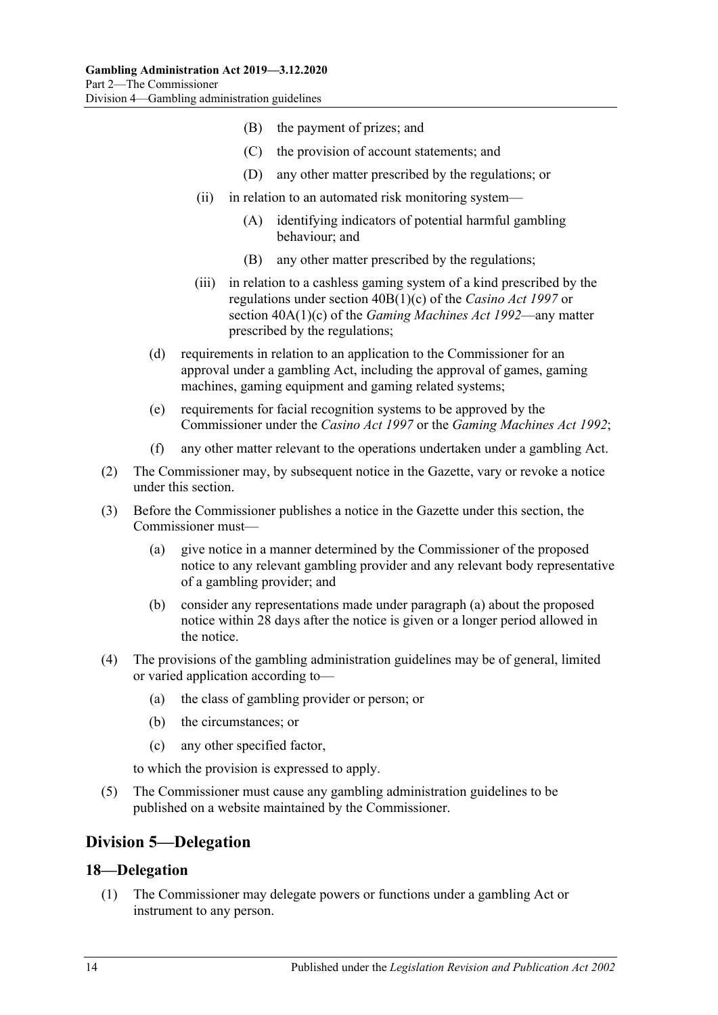- (B) the payment of prizes; and
- (C) the provision of account statements; and
- (D) any other matter prescribed by the regulations; or
- (ii) in relation to an automated risk monitoring system—
	- (A) identifying indicators of potential harmful gambling behaviour; and
	- (B) any other matter prescribed by the regulations;
- (iii) in relation to a cashless gaming system of a kind prescribed by the regulations under section 40B(1)(c) of the *[Casino Act](http://www.legislation.sa.gov.au/index.aspx?action=legref&type=act&legtitle=Casino%20Act%201997) 1997* or section 40A(1)(c) of the *[Gaming Machines Act](http://www.legislation.sa.gov.au/index.aspx?action=legref&type=act&legtitle=Gaming%20Machines%20Act%201992) 1992*—any matter prescribed by the regulations;
- (d) requirements in relation to an application to the Commissioner for an approval under a gambling Act, including the approval of games, gaming machines, gaming equipment and gaming related systems;
- (e) requirements for facial recognition systems to be approved by the Commissioner under the *[Casino Act](http://www.legislation.sa.gov.au/index.aspx?action=legref&type=act&legtitle=Casino%20Act%201997) 1997* or the *[Gaming Machines Act](http://www.legislation.sa.gov.au/index.aspx?action=legref&type=act&legtitle=Gaming%20Machines%20Act%201992) 1992*;
- (f) any other matter relevant to the operations undertaken under a gambling Act.
- (2) The Commissioner may, by subsequent notice in the Gazette, vary or revoke a notice under this section.
- <span id="page-13-2"></span>(3) Before the Commissioner publishes a notice in the Gazette under this section, the Commissioner must—
	- (a) give notice in a manner determined by the Commissioner of the proposed notice to any relevant gambling provider and any relevant body representative of a gambling provider; and
	- (b) consider any representations made under [paragraph](#page-13-2) (a) about the proposed notice within 28 days after the notice is given or a longer period allowed in the notice.
- (4) The provisions of the gambling administration guidelines may be of general, limited or varied application according to—
	- (a) the class of gambling provider or person; or
	- (b) the circumstances; or
	- (c) any other specified factor,

to which the provision is expressed to apply.

(5) The Commissioner must cause any gambling administration guidelines to be published on a website maintained by the Commissioner.

### <span id="page-13-0"></span>**Division 5—Delegation**

#### <span id="page-13-1"></span>**18—Delegation**

(1) The Commissioner may delegate powers or functions under a gambling Act or instrument to any person.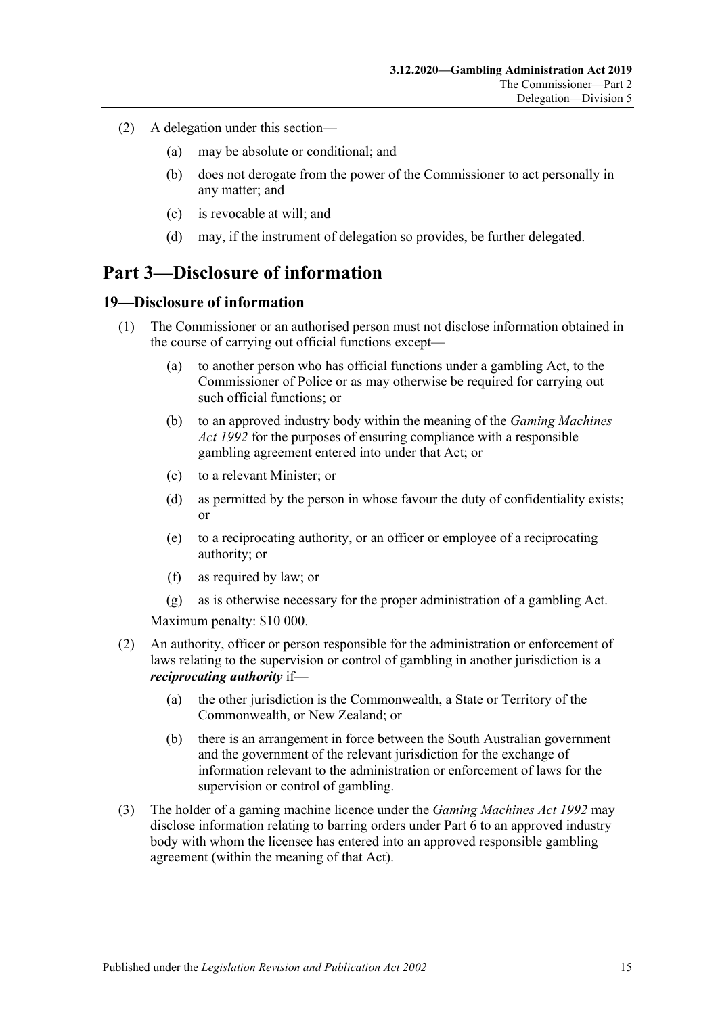- (2) A delegation under this section—
	- (a) may be absolute or conditional; and
	- (b) does not derogate from the power of the Commissioner to act personally in any matter; and
	- (c) is revocable at will; and
	- (d) may, if the instrument of delegation so provides, be further delegated.

## <span id="page-14-0"></span>**Part 3—Disclosure of information**

### <span id="page-14-1"></span>**19—Disclosure of information**

- (1) The Commissioner or an authorised person must not disclose information obtained in the course of carrying out official functions except—
	- (a) to another person who has official functions under a gambling Act, to the Commissioner of Police or as may otherwise be required for carrying out such official functions; or
	- (b) to an approved industry body within the meaning of the *[Gaming Machines](http://www.legislation.sa.gov.au/index.aspx?action=legref&type=act&legtitle=Gaming%20Machines%20Act%201992)  Act [1992](http://www.legislation.sa.gov.au/index.aspx?action=legref&type=act&legtitle=Gaming%20Machines%20Act%201992)* for the purposes of ensuring compliance with a responsible gambling agreement entered into under that Act; or
	- (c) to a relevant Minister; or
	- (d) as permitted by the person in whose favour the duty of confidentiality exists; or
	- (e) to a reciprocating authority, or an officer or employee of a reciprocating authority; or
	- (f) as required by law; or
	- (g) as is otherwise necessary for the proper administration of a gambling Act.

Maximum penalty: \$10 000.

- (2) An authority, officer or person responsible for the administration or enforcement of laws relating to the supervision or control of gambling in another jurisdiction is a *reciprocating authority* if—
	- (a) the other jurisdiction is the Commonwealth, a State or Territory of the Commonwealth, or New Zealand; or
	- (b) there is an arrangement in force between the South Australian government and the government of the relevant jurisdiction for the exchange of information relevant to the administration or enforcement of laws for the supervision or control of gambling.
- (3) The holder of a gaming machine licence under the *[Gaming Machines Act](http://www.legislation.sa.gov.au/index.aspx?action=legref&type=act&legtitle=Gaming%20Machines%20Act%201992) 1992* may disclose information relating to barring orders under [Part](#page-26-2) 6 to an approved industry body with whom the licensee has entered into an approved responsible gambling agreement (within the meaning of that Act).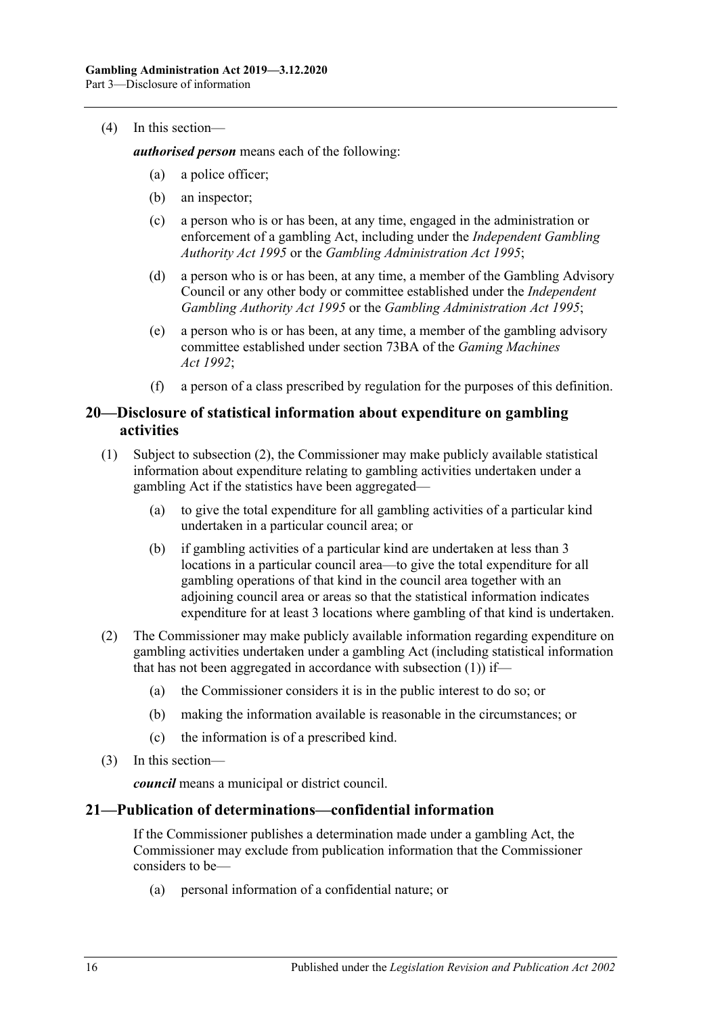#### (4) In this section—

*authorised person* means each of the following:

- (a) a police officer;
- (b) an inspector;
- (c) a person who is or has been, at any time, engaged in the administration or enforcement of a gambling Act, including under the *[Independent Gambling](http://www.legislation.sa.gov.au/index.aspx?action=legref&type=act&legtitle=Independent%20Gambling%20Authority%20Act%201995)  [Authority Act](http://www.legislation.sa.gov.au/index.aspx?action=legref&type=act&legtitle=Independent%20Gambling%20Authority%20Act%201995) 1995* or the *[Gambling Administration Act](http://www.legislation.sa.gov.au/index.aspx?action=legref&type=act&legtitle=Gambling%20Administration%20Act%201995) 1995*;
- (d) a person who is or has been, at any time, a member of the Gambling Advisory Council or any other body or committee established under the *[Independent](http://www.legislation.sa.gov.au/index.aspx?action=legref&type=act&legtitle=Independent%20Gambling%20Authority%20Act%201995)  [Gambling Authority Act](http://www.legislation.sa.gov.au/index.aspx?action=legref&type=act&legtitle=Independent%20Gambling%20Authority%20Act%201995) 1995* or the *[Gambling Administration Act](http://www.legislation.sa.gov.au/index.aspx?action=legref&type=act&legtitle=Gambling%20Administration%20Act%201995) 1995*;
- (e) a person who is or has been, at any time, a member of the gambling advisory committee established under section 73BA of the *[Gaming Machines](http://www.legislation.sa.gov.au/index.aspx?action=legref&type=act&legtitle=Gaming%20Machines%20Act%201992)  Act [1992](http://www.legislation.sa.gov.au/index.aspx?action=legref&type=act&legtitle=Gaming%20Machines%20Act%201992)*;
- (f) a person of a class prescribed by regulation for the purposes of this definition.

### <span id="page-15-0"></span>**20—Disclosure of statistical information about expenditure on gambling activities**

- <span id="page-15-3"></span>(1) Subject to [subsection](#page-15-2) (2), the Commissioner may make publicly available statistical information about expenditure relating to gambling activities undertaken under a gambling Act if the statistics have been aggregated—
	- (a) to give the total expenditure for all gambling activities of a particular kind undertaken in a particular council area; or
	- (b) if gambling activities of a particular kind are undertaken at less than 3 locations in a particular council area—to give the total expenditure for all gambling operations of that kind in the council area together with an adjoining council area or areas so that the statistical information indicates expenditure for at least 3 locations where gambling of that kind is undertaken.
- <span id="page-15-2"></span>(2) The Commissioner may make publicly available information regarding expenditure on gambling activities undertaken under a gambling Act (including statistical information that has not been aggregated in accordance with [subsection](#page-15-3)  $(1)$  if—
	- (a) the Commissioner considers it is in the public interest to do so; or
	- (b) making the information available is reasonable in the circumstances; or
	- (c) the information is of a prescribed kind.
- (3) In this section—

*council* means a municipal or district council.

### <span id="page-15-1"></span>**21—Publication of determinations—confidential information**

If the Commissioner publishes a determination made under a gambling Act, the Commissioner may exclude from publication information that the Commissioner considers to be—

(a) personal information of a confidential nature; or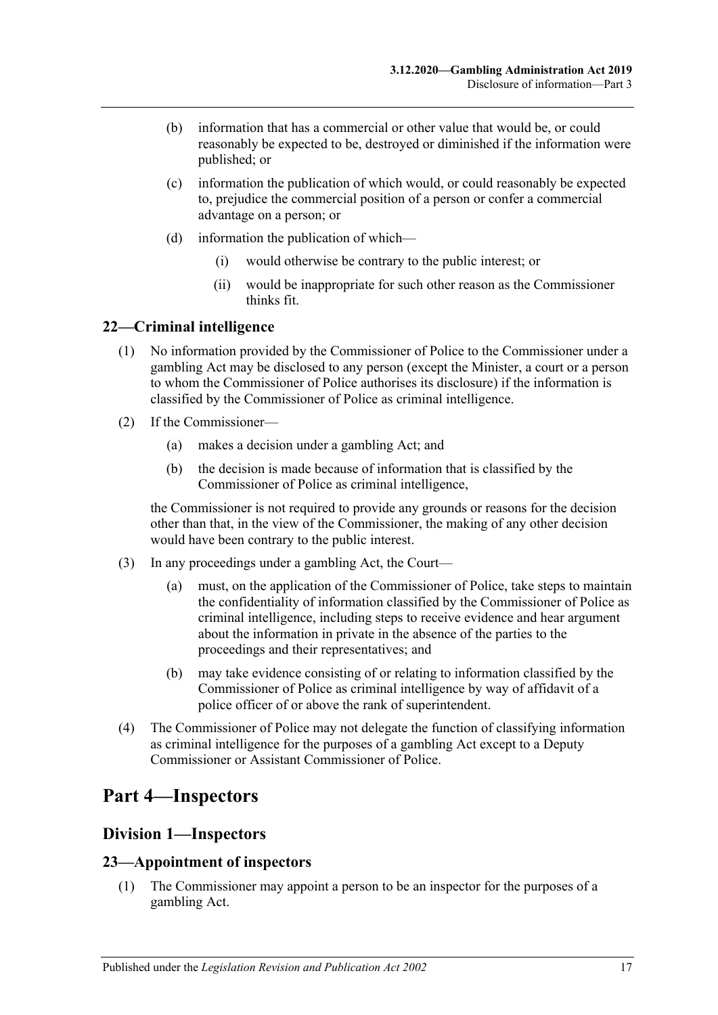- (b) information that has a commercial or other value that would be, or could reasonably be expected to be, destroyed or diminished if the information were published; or
- (c) information the publication of which would, or could reasonably be expected to, prejudice the commercial position of a person or confer a commercial advantage on a person; or
- (d) information the publication of which—
	- (i) would otherwise be contrary to the public interest; or
	- (ii) would be inappropriate for such other reason as the Commissioner thinks fit.

### <span id="page-16-0"></span>**22—Criminal intelligence**

- (1) No information provided by the Commissioner of Police to the Commissioner under a gambling Act may be disclosed to any person (except the Minister, a court or a person to whom the Commissioner of Police authorises its disclosure) if the information is classified by the Commissioner of Police as criminal intelligence.
- (2) If the Commissioner—
	- (a) makes a decision under a gambling Act; and
	- (b) the decision is made because of information that is classified by the Commissioner of Police as criminal intelligence,

the Commissioner is not required to provide any grounds or reasons for the decision other than that, in the view of the Commissioner, the making of any other decision would have been contrary to the public interest.

- (3) In any proceedings under a gambling Act, the Court—
	- (a) must, on the application of the Commissioner of Police, take steps to maintain the confidentiality of information classified by the Commissioner of Police as criminal intelligence, including steps to receive evidence and hear argument about the information in private in the absence of the parties to the proceedings and their representatives; and
	- (b) may take evidence consisting of or relating to information classified by the Commissioner of Police as criminal intelligence by way of affidavit of a police officer of or above the rank of superintendent.
- (4) The Commissioner of Police may not delegate the function of classifying information as criminal intelligence for the purposes of a gambling Act except to a Deputy Commissioner or Assistant Commissioner of Police.

# <span id="page-16-2"></span><span id="page-16-1"></span>**Part 4—Inspectors**

### **Division 1—Inspectors**

### <span id="page-16-3"></span>**23—Appointment of inspectors**

(1) The Commissioner may appoint a person to be an inspector for the purposes of a gambling Act.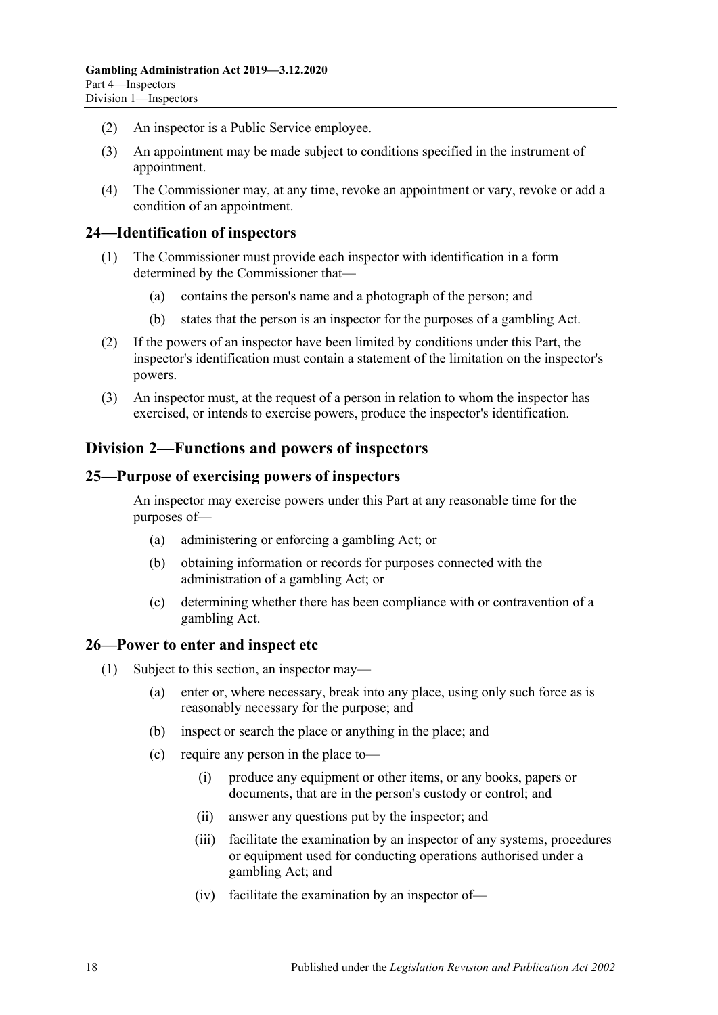- (2) An inspector is a Public Service employee.
- (3) An appointment may be made subject to conditions specified in the instrument of appointment.
- (4) The Commissioner may, at any time, revoke an appointment or vary, revoke or add a condition of an appointment.

### <span id="page-17-0"></span>**24—Identification of inspectors**

- (1) The Commissioner must provide each inspector with identification in a form determined by the Commissioner that—
	- (a) contains the person's name and a photograph of the person; and
	- (b) states that the person is an inspector for the purposes of a gambling Act.
- (2) If the powers of an inspector have been limited by conditions under this Part, the inspector's identification must contain a statement of the limitation on the inspector's powers.
- (3) An inspector must, at the request of a person in relation to whom the inspector has exercised, or intends to exercise powers, produce the inspector's identification.

### <span id="page-17-1"></span>**Division 2—Functions and powers of inspectors**

### <span id="page-17-2"></span>**25—Purpose of exercising powers of inspectors**

An inspector may exercise powers under this Part at any reasonable time for the purposes of—

- (a) administering or enforcing a gambling Act; or
- (b) obtaining information or records for purposes connected with the administration of a gambling Act; or
- (c) determining whether there has been compliance with or contravention of a gambling Act.

#### <span id="page-17-4"></span><span id="page-17-3"></span>**26—Power to enter and inspect etc**

- <span id="page-17-5"></span>(1) Subject to this section, an inspector may—
	- (a) enter or, where necessary, break into any place, using only such force as is reasonably necessary for the purpose; and
	- (b) inspect or search the place or anything in the place; and
	- (c) require any person in the place to—
		- (i) produce any equipment or other items, or any books, papers or documents, that are in the person's custody or control; and
		- (ii) answer any questions put by the inspector; and
		- (iii) facilitate the examination by an inspector of any systems, procedures or equipment used for conducting operations authorised under a gambling Act; and
		- (iv) facilitate the examination by an inspector of—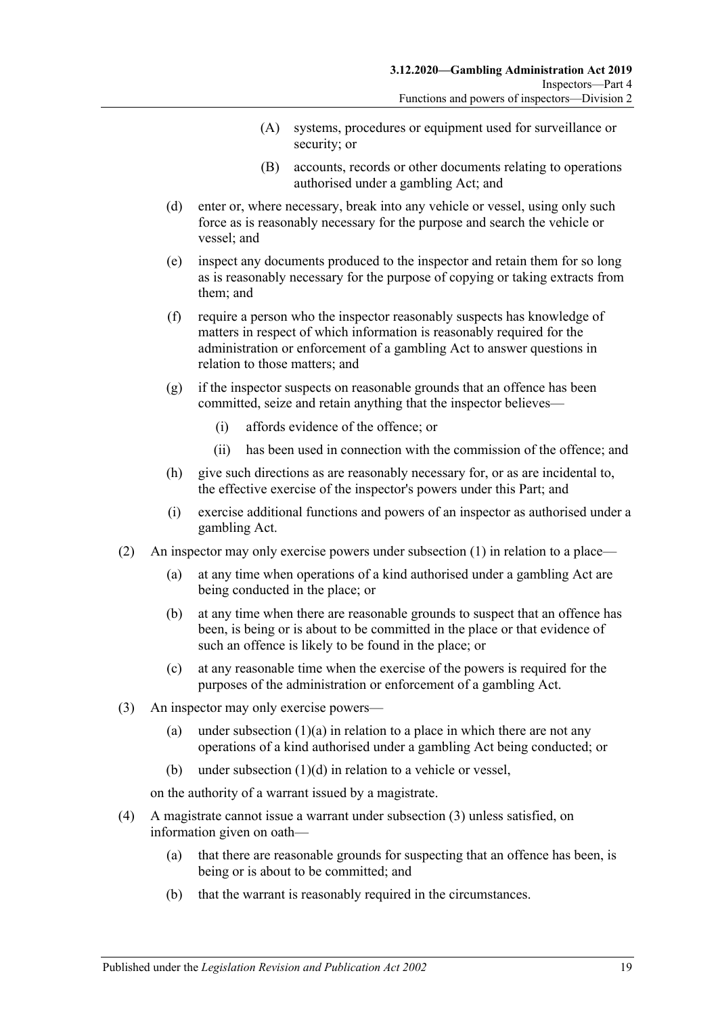- (A) systems, procedures or equipment used for surveillance or security; or
- (B) accounts, records or other documents relating to operations authorised under a gambling Act; and
- <span id="page-18-0"></span>(d) enter or, where necessary, break into any vehicle or vessel, using only such force as is reasonably necessary for the purpose and search the vehicle or vessel; and
- (e) inspect any documents produced to the inspector and retain them for so long as is reasonably necessary for the purpose of copying or taking extracts from them; and
- (f) require a person who the inspector reasonably suspects has knowledge of matters in respect of which information is reasonably required for the administration or enforcement of a gambling Act to answer questions in relation to those matters; and
- (g) if the inspector suspects on reasonable grounds that an offence has been committed, seize and retain anything that the inspector believes—
	- (i) affords evidence of the offence; or
	- (ii) has been used in connection with the commission of the offence; and
- (h) give such directions as are reasonably necessary for, or as are incidental to, the effective exercise of the inspector's powers under this Part; and
- (i) exercise additional functions and powers of an inspector as authorised under a gambling Act.
- (2) An inspector may only exercise powers under [subsection](#page-17-4) (1) in relation to a place—
	- (a) at any time when operations of a kind authorised under a gambling Act are being conducted in the place; or
	- (b) at any time when there are reasonable grounds to suspect that an offence has been, is being or is about to be committed in the place or that evidence of such an offence is likely to be found in the place; or
	- (c) at any reasonable time when the exercise of the powers is required for the purposes of the administration or enforcement of a gambling Act.
- <span id="page-18-1"></span>(3) An inspector may only exercise powers
	- (a) under [subsection](#page-17-5)  $(1)(a)$  in relation to a place in which there are not any operations of a kind authorised under a gambling Act being conducted; or
	- (b) under [subsection](#page-18-0) (1)(d) in relation to a vehicle or vessel,

on the authority of a warrant issued by a magistrate.

- (4) A magistrate cannot issue a warrant under [subsection](#page-18-1) (3) unless satisfied, on information given on oath—
	- (a) that there are reasonable grounds for suspecting that an offence has been, is being or is about to be committed; and
	- (b) that the warrant is reasonably required in the circumstances.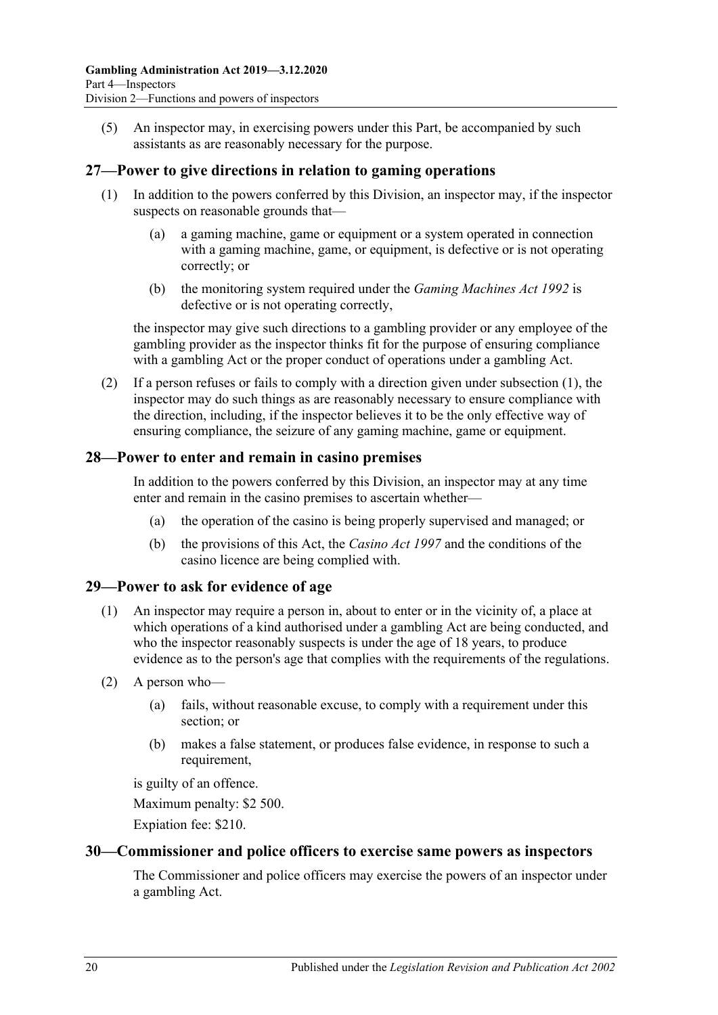(5) An inspector may, in exercising powers under this Part, be accompanied by such assistants as are reasonably necessary for the purpose.

### <span id="page-19-4"></span><span id="page-19-0"></span>**27—Power to give directions in relation to gaming operations**

- (1) In addition to the powers conferred by this Division, an inspector may, if the inspector suspects on reasonable grounds that—
	- (a) a gaming machine, game or equipment or a system operated in connection with a gaming machine, game, or equipment, is defective or is not operating correctly; or
	- (b) the monitoring system required under the *[Gaming Machines Act](http://www.legislation.sa.gov.au/index.aspx?action=legref&type=act&legtitle=Gaming%20Machines%20Act%201992) 1992* is defective or is not operating correctly,

the inspector may give such directions to a gambling provider or any employee of the gambling provider as the inspector thinks fit for the purpose of ensuring compliance with a gambling Act or the proper conduct of operations under a gambling Act.

(2) If a person refuses or fails to comply with a direction given under [subsection](#page-19-4) (1), the inspector may do such things as are reasonably necessary to ensure compliance with the direction, including, if the inspector believes it to be the only effective way of ensuring compliance, the seizure of any gaming machine, game or equipment.

### <span id="page-19-1"></span>**28—Power to enter and remain in casino premises**

In addition to the powers conferred by this Division, an inspector may at any time enter and remain in the casino premises to ascertain whether—

- (a) the operation of the casino is being properly supervised and managed; or
- (b) the provisions of this Act, the *[Casino Act](http://www.legislation.sa.gov.au/index.aspx?action=legref&type=act&legtitle=Casino%20Act%201997) 1997* and the conditions of the casino licence are being complied with.

#### <span id="page-19-2"></span>**29—Power to ask for evidence of age**

- (1) An inspector may require a person in, about to enter or in the vicinity of, a place at which operations of a kind authorised under a gambling Act are being conducted, and who the inspector reasonably suspects is under the age of 18 years, to produce evidence as to the person's age that complies with the requirements of the regulations.
- (2) A person who—
	- (a) fails, without reasonable excuse, to comply with a requirement under this section; or
	- (b) makes a false statement, or produces false evidence, in response to such a requirement,

is guilty of an offence.

Maximum penalty: \$2 500.

Expiation fee: \$210.

### <span id="page-19-3"></span>**30—Commissioner and police officers to exercise same powers as inspectors**

The Commissioner and police officers may exercise the powers of an inspector under a gambling Act.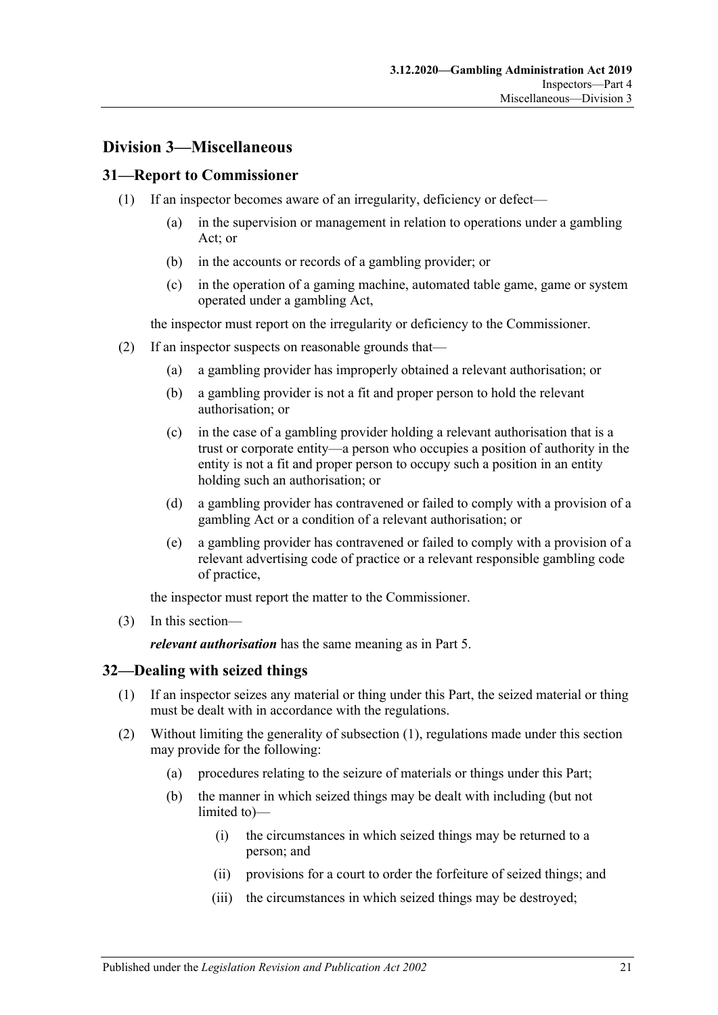### <span id="page-20-0"></span>**Division 3—Miscellaneous**

### <span id="page-20-1"></span>**31—Report to Commissioner**

- (1) If an inspector becomes aware of an irregularity, deficiency or defect—
	- (a) in the supervision or management in relation to operations under a gambling Act; or
	- (b) in the accounts or records of a gambling provider; or
	- (c) in the operation of a gaming machine, automated table game, game or system operated under a gambling Act,

the inspector must report on the irregularity or deficiency to the Commissioner.

- (2) If an inspector suspects on reasonable grounds that—
	- (a) a gambling provider has improperly obtained a relevant authorisation; or
	- (b) a gambling provider is not a fit and proper person to hold the relevant authorisation; or
	- (c) in the case of a gambling provider holding a relevant authorisation that is a trust or corporate entity—a person who occupies a position of authority in the entity is not a fit and proper person to occupy such a position in an entity holding such an authorisation; or
	- (d) a gambling provider has contravened or failed to comply with a provision of a gambling Act or a condition of a relevant authorisation; or
	- (e) a gambling provider has contravened or failed to comply with a provision of a relevant advertising code of practice or a relevant responsible gambling code of practice,

the inspector must report the matter to the Commissioner.

(3) In this section—

*relevant authorisation* has the same meaning as in [Part](#page-21-2) 5.

### <span id="page-20-3"></span><span id="page-20-2"></span>**32—Dealing with seized things**

- (1) If an inspector seizes any material or thing under this Part, the seized material or thing must be dealt with in accordance with the regulations.
- (2) Without limiting the generality of [subsection](#page-20-3) (1), regulations made under this section may provide for the following:
	- (a) procedures relating to the seizure of materials or things under this Part;
	- (b) the manner in which seized things may be dealt with including (but not limited to)—
		- (i) the circumstances in which seized things may be returned to a person; and
		- (ii) provisions for a court to order the forfeiture of seized things; and
		- (iii) the circumstances in which seized things may be destroyed;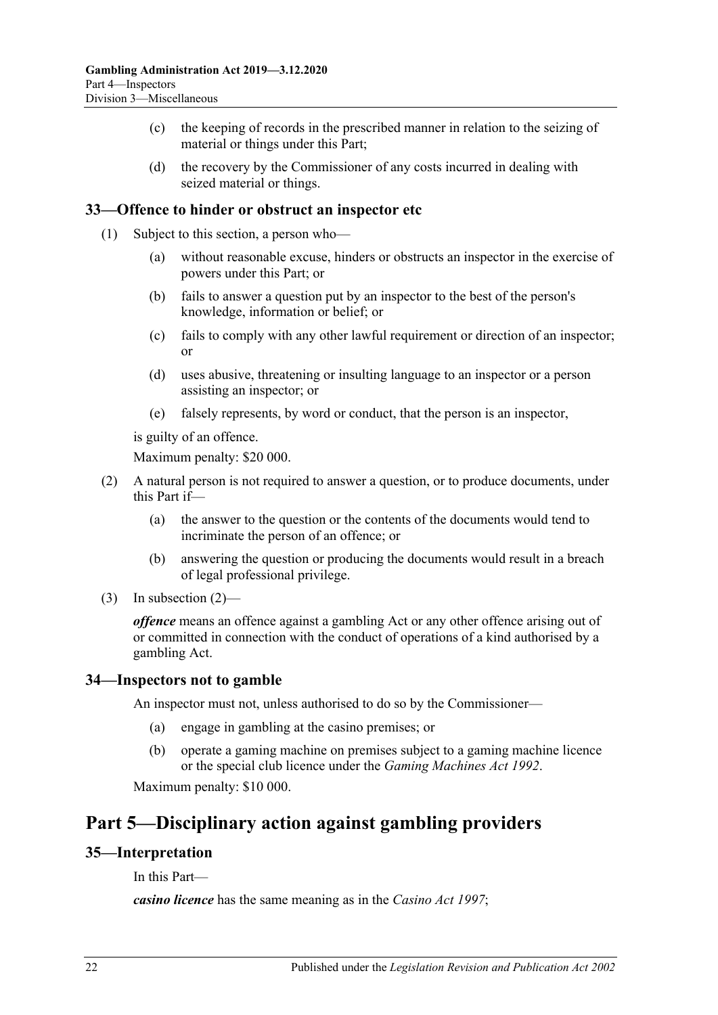- (c) the keeping of records in the prescribed manner in relation to the seizing of material or things under this Part;
- (d) the recovery by the Commissioner of any costs incurred in dealing with seized material or things.

### <span id="page-21-0"></span>**33—Offence to hinder or obstruct an inspector etc**

- (1) Subject to this section, a person who—
	- (a) without reasonable excuse, hinders or obstructs an inspector in the exercise of powers under this Part; or
	- (b) fails to answer a question put by an inspector to the best of the person's knowledge, information or belief; or
	- (c) fails to comply with any other lawful requirement or direction of an inspector; or
	- (d) uses abusive, threatening or insulting language to an inspector or a person assisting an inspector; or
	- (e) falsely represents, by word or conduct, that the person is an inspector,

is guilty of an offence.

Maximum penalty: \$20 000.

- <span id="page-21-4"></span>(2) A natural person is not required to answer a question, or to produce documents, under this Part if—
	- (a) the answer to the question or the contents of the documents would tend to incriminate the person of an offence; or
	- (b) answering the question or producing the documents would result in a breach of legal professional privilege.
- (3) In [subsection](#page-21-4)  $(2)$ —

*offence* means an offence against a gambling Act or any other offence arising out of or committed in connection with the conduct of operations of a kind authorised by a gambling Act.

#### <span id="page-21-1"></span>**34—Inspectors not to gamble**

An inspector must not, unless authorised to do so by the Commissioner—

- (a) engage in gambling at the casino premises; or
- (b) operate a gaming machine on premises subject to a gaming machine licence or the special club licence under the *[Gaming Machines Act](http://www.legislation.sa.gov.au/index.aspx?action=legref&type=act&legtitle=Gaming%20Machines%20Act%201992) 1992*.

Maximum penalty: \$10 000.

## <span id="page-21-2"></span>**Part 5—Disciplinary action against gambling providers**

### <span id="page-21-3"></span>**35—Interpretation**

In this Part—

*casino licence* has the same meaning as in the *[Casino Act](http://www.legislation.sa.gov.au/index.aspx?action=legref&type=act&legtitle=Casino%20Act%201997) 1997*;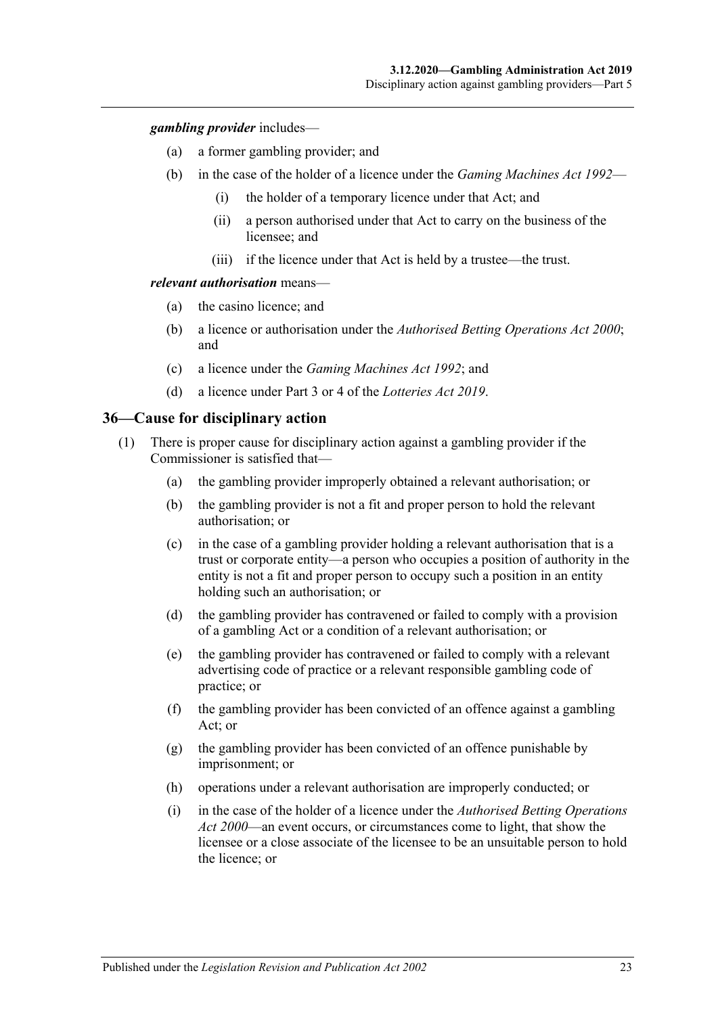*gambling provider* includes—

- (a) a former gambling provider; and
- (b) in the case of the holder of a licence under the *[Gaming Machines Act](http://www.legislation.sa.gov.au/index.aspx?action=legref&type=act&legtitle=Gaming%20Machines%20Act%201992) 1992*
	- (i) the holder of a temporary licence under that Act; and
	- (ii) a person authorised under that Act to carry on the business of the licensee; and
	- (iii) if the licence under that Act is held by a trustee—the trust.

#### *relevant authorisation* means—

- (a) the casino licence; and
- (b) a licence or authorisation under the *[Authorised Betting Operations Act](http://www.legislation.sa.gov.au/index.aspx?action=legref&type=act&legtitle=Authorised%20Betting%20Operations%20Act%202000) 2000*; and
- (c) a licence under the *[Gaming Machines Act](http://www.legislation.sa.gov.au/index.aspx?action=legref&type=act&legtitle=Gaming%20Machines%20Act%201992) 1992*; and
- (d) a licence under Part 3 or 4 of the *[Lotteries Act](http://www.legislation.sa.gov.au/index.aspx?action=legref&type=act&legtitle=Lotteries%20Act%202019) 2019*.

#### <span id="page-22-1"></span><span id="page-22-0"></span>**36—Cause for disciplinary action**

- (1) There is proper cause for disciplinary action against a gambling provider if the Commissioner is satisfied that—
	- (a) the gambling provider improperly obtained a relevant authorisation; or
	- (b) the gambling provider is not a fit and proper person to hold the relevant authorisation; or
	- (c) in the case of a gambling provider holding a relevant authorisation that is a trust or corporate entity—a person who occupies a position of authority in the entity is not a fit and proper person to occupy such a position in an entity holding such an authorisation; or
	- (d) the gambling provider has contravened or failed to comply with a provision of a gambling Act or a condition of a relevant authorisation; or
	- (e) the gambling provider has contravened or failed to comply with a relevant advertising code of practice or a relevant responsible gambling code of practice; or
	- (f) the gambling provider has been convicted of an offence against a gambling Act; or
	- (g) the gambling provider has been convicted of an offence punishable by imprisonment; or
	- (h) operations under a relevant authorisation are improperly conducted; or
	- (i) in the case of the holder of a licence under the *[Authorised Betting Operations](http://www.legislation.sa.gov.au/index.aspx?action=legref&type=act&legtitle=Authorised%20Betting%20Operations%20Act%202000)  Act [2000](http://www.legislation.sa.gov.au/index.aspx?action=legref&type=act&legtitle=Authorised%20Betting%20Operations%20Act%202000)*—an event occurs, or circumstances come to light, that show the licensee or a close associate of the licensee to be an unsuitable person to hold the licence; or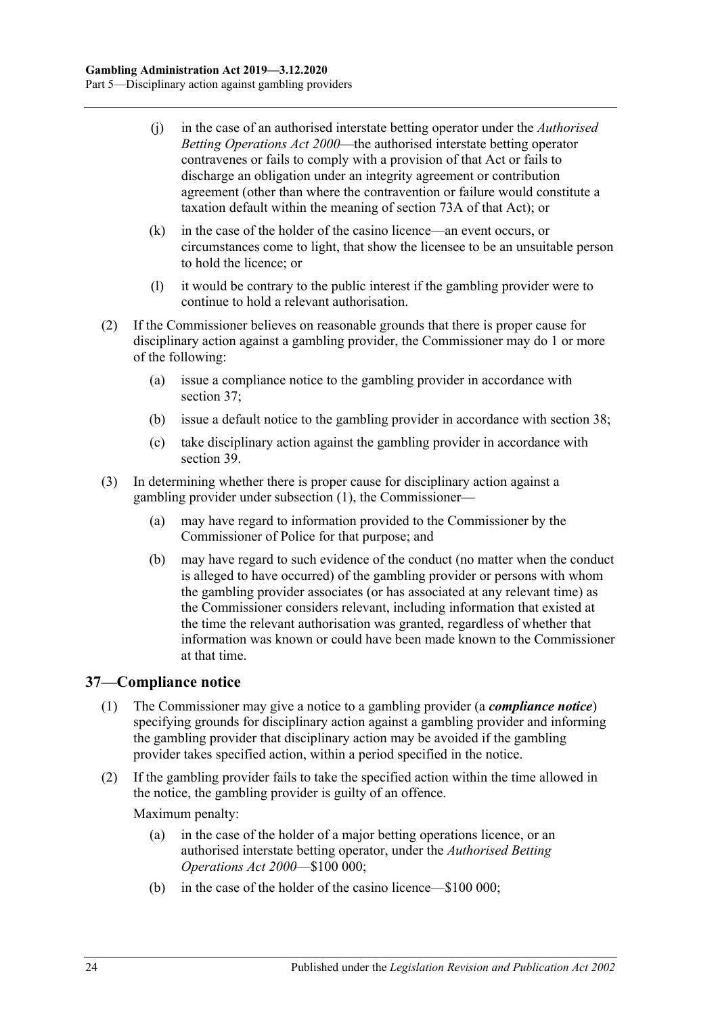- (j) in the case of an authorised interstate betting operator under the *[Authorised](http://www.legislation.sa.gov.au/index.aspx?action=legref&type=act&legtitle=Authorised%20Betting%20Operations%20Act%202000)  [Betting Operations Act](http://www.legislation.sa.gov.au/index.aspx?action=legref&type=act&legtitle=Authorised%20Betting%20Operations%20Act%202000) 2000*—the authorised interstate betting operator contravenes or fails to comply with a provision of that Act or fails to discharge an obligation under an integrity agreement or contribution agreement (other than where the contravention or failure would constitute a taxation default within the meaning of section 73A of that Act); or
- (k) in the case of the holder of the casino licence—an event occurs, or circumstances come to light, that show the licensee to be an unsuitable person to hold the licence; or
- (l) it would be contrary to the public interest if the gambling provider were to continue to hold a relevant authorisation.
- (2) If the Commissioner believes on reasonable grounds that there is proper cause for disciplinary action against a gambling provider, the Commissioner may do 1 or more of the following:
	- (a) issue a compliance notice to the gambling provider in accordance with [section](#page-23-0) 37;
	- (b) issue a default notice to the gambling provider in accordance with [section](#page-24-0) 38;
	- (c) take disciplinary action against the gambling provider in accordance with [section](#page-24-1) 39.
- (3) In determining whether there is proper cause for disciplinary action against a gambling provider under [subsection](#page-22-1) (1), the Commissioner—
	- (a) may have regard to information provided to the Commissioner by the Commissioner of Police for that purpose; and
	- (b) may have regard to such evidence of the conduct (no matter when the conduct is alleged to have occurred) of the gambling provider or persons with whom the gambling provider associates (or has associated at any relevant time) as the Commissioner considers relevant, including information that existed at the time the relevant authorisation was granted, regardless of whether that information was known or could have been made known to the Commissioner at that time.

### <span id="page-23-0"></span>**37—Compliance notice**

- (1) The Commissioner may give a notice to a gambling provider (a *compliance notice*) specifying grounds for disciplinary action against a gambling provider and informing the gambling provider that disciplinary action may be avoided if the gambling provider takes specified action, within a period specified in the notice.
- (2) If the gambling provider fails to take the specified action within the time allowed in the notice, the gambling provider is guilty of an offence.

Maximum penalty:

- (a) in the case of the holder of a major betting operations licence, or an authorised interstate betting operator, under the *[Authorised Betting](http://www.legislation.sa.gov.au/index.aspx?action=legref&type=act&legtitle=Authorised%20Betting%20Operations%20Act%202000)  [Operations Act](http://www.legislation.sa.gov.au/index.aspx?action=legref&type=act&legtitle=Authorised%20Betting%20Operations%20Act%202000) 2000*—\$100 000;
- (b) in the case of the holder of the casino licence—\$100 000;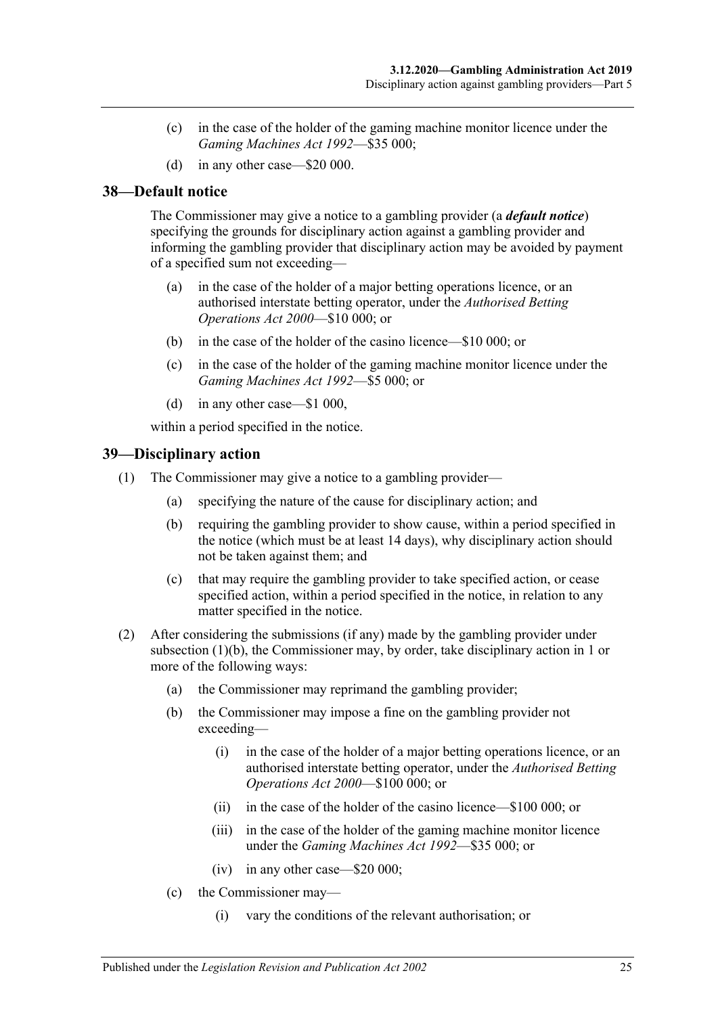- (c) in the case of the holder of the gaming machine monitor licence under the *[Gaming Machines Act](http://www.legislation.sa.gov.au/index.aspx?action=legref&type=act&legtitle=Gaming%20Machines%20Act%201992) 1992*—\$35 000;
- (d) in any other case—\$20 000.

### <span id="page-24-0"></span>**38—Default notice**

The Commissioner may give a notice to a gambling provider (a *default notice*) specifying the grounds for disciplinary action against a gambling provider and informing the gambling provider that disciplinary action may be avoided by payment of a specified sum not exceeding—

- (a) in the case of the holder of a major betting operations licence, or an authorised interstate betting operator, under the *[Authorised Betting](http://www.legislation.sa.gov.au/index.aspx?action=legref&type=act&legtitle=Authorised%20Betting%20Operations%20Act%202000)  [Operations Act](http://www.legislation.sa.gov.au/index.aspx?action=legref&type=act&legtitle=Authorised%20Betting%20Operations%20Act%202000) 2000*—\$10 000; or
- (b) in the case of the holder of the casino licence—\$10 000; or
- (c) in the case of the holder of the gaming machine monitor licence under the *[Gaming Machines Act](http://www.legislation.sa.gov.au/index.aspx?action=legref&type=act&legtitle=Gaming%20Machines%20Act%201992) 1992*—\$5 000; or
- (d) in any other case—\$1 000,

within a period specified in the notice.

### <span id="page-24-1"></span>**39—Disciplinary action**

- <span id="page-24-2"></span>(1) The Commissioner may give a notice to a gambling provider—
	- (a) specifying the nature of the cause for disciplinary action; and
	- (b) requiring the gambling provider to show cause, within a period specified in the notice (which must be at least 14 days), why disciplinary action should not be taken against them; and
	- (c) that may require the gambling provider to take specified action, or cease specified action, within a period specified in the notice, in relation to any matter specified in the notice.
- (2) After considering the submissions (if any) made by the gambling provider under [subsection](#page-24-2) (1)(b), the Commissioner may, by order, take disciplinary action in 1 or more of the following ways:
	- (a) the Commissioner may reprimand the gambling provider;
	- (b) the Commissioner may impose a fine on the gambling provider not exceeding—
		- (i) in the case of the holder of a major betting operations licence, or an authorised interstate betting operator, under the *[Authorised Betting](http://www.legislation.sa.gov.au/index.aspx?action=legref&type=act&legtitle=Authorised%20Betting%20Operations%20Act%202000)  [Operations Act](http://www.legislation.sa.gov.au/index.aspx?action=legref&type=act&legtitle=Authorised%20Betting%20Operations%20Act%202000) 2000*—\$100 000; or
		- (ii) in the case of the holder of the casino licence—\$100 000; or
		- (iii) in the case of the holder of the gaming machine monitor licence under the *[Gaming Machines Act](http://www.legislation.sa.gov.au/index.aspx?action=legref&type=act&legtitle=Gaming%20Machines%20Act%201992) 1992*—\$35 000; or
		- (iv) in any other case—\$20 000;
	- (c) the Commissioner may—
		- (i) vary the conditions of the relevant authorisation; or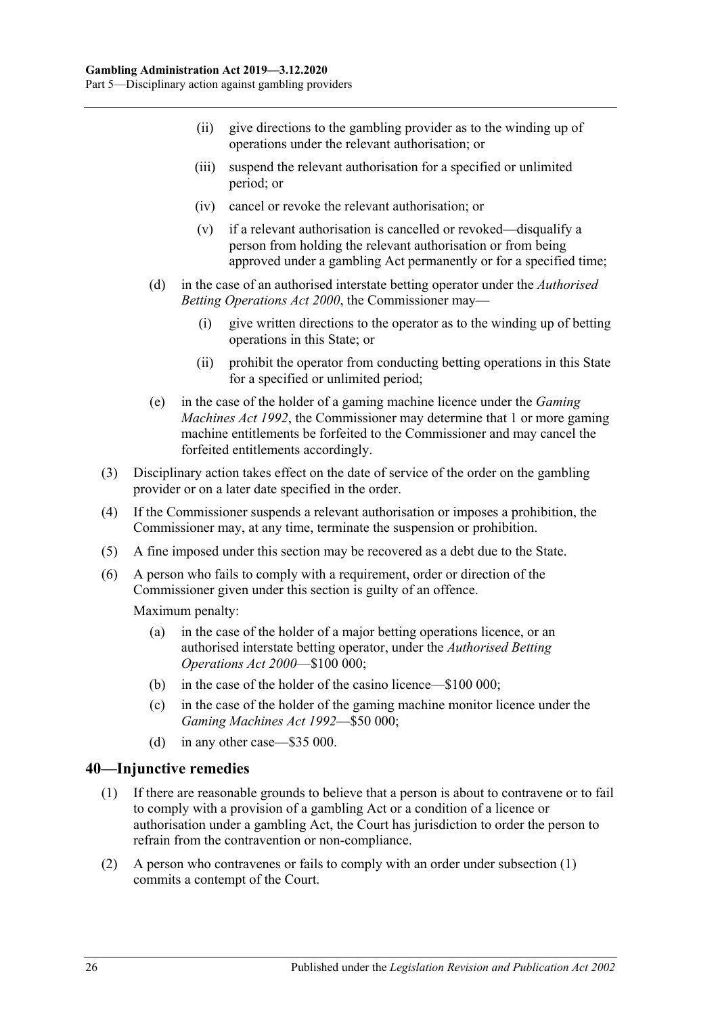- (ii) give directions to the gambling provider as to the winding up of operations under the relevant authorisation; or
- (iii) suspend the relevant authorisation for a specified or unlimited period; or
- (iv) cancel or revoke the relevant authorisation; or
- (v) if a relevant authorisation is cancelled or revoked—disqualify a person from holding the relevant authorisation or from being approved under a gambling Act permanently or for a specified time;
- (d) in the case of an authorised interstate betting operator under the *[Authorised](http://www.legislation.sa.gov.au/index.aspx?action=legref&type=act&legtitle=Authorised%20Betting%20Operations%20Act%202000)  [Betting Operations Act](http://www.legislation.sa.gov.au/index.aspx?action=legref&type=act&legtitle=Authorised%20Betting%20Operations%20Act%202000) 2000*, the Commissioner may—
	- (i) give written directions to the operator as to the winding up of betting operations in this State; or
	- (ii) prohibit the operator from conducting betting operations in this State for a specified or unlimited period;
- (e) in the case of the holder of a gaming machine licence under the *[Gaming](http://www.legislation.sa.gov.au/index.aspx?action=legref&type=act&legtitle=Gaming%20Machines%20Act%201992)  [Machines Act](http://www.legislation.sa.gov.au/index.aspx?action=legref&type=act&legtitle=Gaming%20Machines%20Act%201992) 1992*, the Commissioner may determine that 1 or more gaming machine entitlements be forfeited to the Commissioner and may cancel the forfeited entitlements accordingly.
- (3) Disciplinary action takes effect on the date of service of the order on the gambling provider or on a later date specified in the order.
- (4) If the Commissioner suspends a relevant authorisation or imposes a prohibition, the Commissioner may, at any time, terminate the suspension or prohibition.
- (5) A fine imposed under this section may be recovered as a debt due to the State.
- (6) A person who fails to comply with a requirement, order or direction of the Commissioner given under this section is guilty of an offence.

Maximum penalty:

- (a) in the case of the holder of a major betting operations licence, or an authorised interstate betting operator, under the *[Authorised Betting](http://www.legislation.sa.gov.au/index.aspx?action=legref&type=act&legtitle=Authorised%20Betting%20Operations%20Act%202000)  [Operations Act](http://www.legislation.sa.gov.au/index.aspx?action=legref&type=act&legtitle=Authorised%20Betting%20Operations%20Act%202000) 2000*—\$100 000;
- (b) in the case of the holder of the casino licence—\$100 000;
- (c) in the case of the holder of the gaming machine monitor licence under the *[Gaming Machines Act](http://www.legislation.sa.gov.au/index.aspx?action=legref&type=act&legtitle=Gaming%20Machines%20Act%201992) 1992*—\$50 000;
- (d) in any other case—\$35 000.

#### <span id="page-25-1"></span><span id="page-25-0"></span>**40—Injunctive remedies**

- (1) If there are reasonable grounds to believe that a person is about to contravene or to fail to comply with a provision of a gambling Act or a condition of a licence or authorisation under a gambling Act, the Court has jurisdiction to order the person to refrain from the contravention or non-compliance.
- (2) A person who contravenes or fails to comply with an order under [subsection](#page-25-1) (1) commits a contempt of the Court.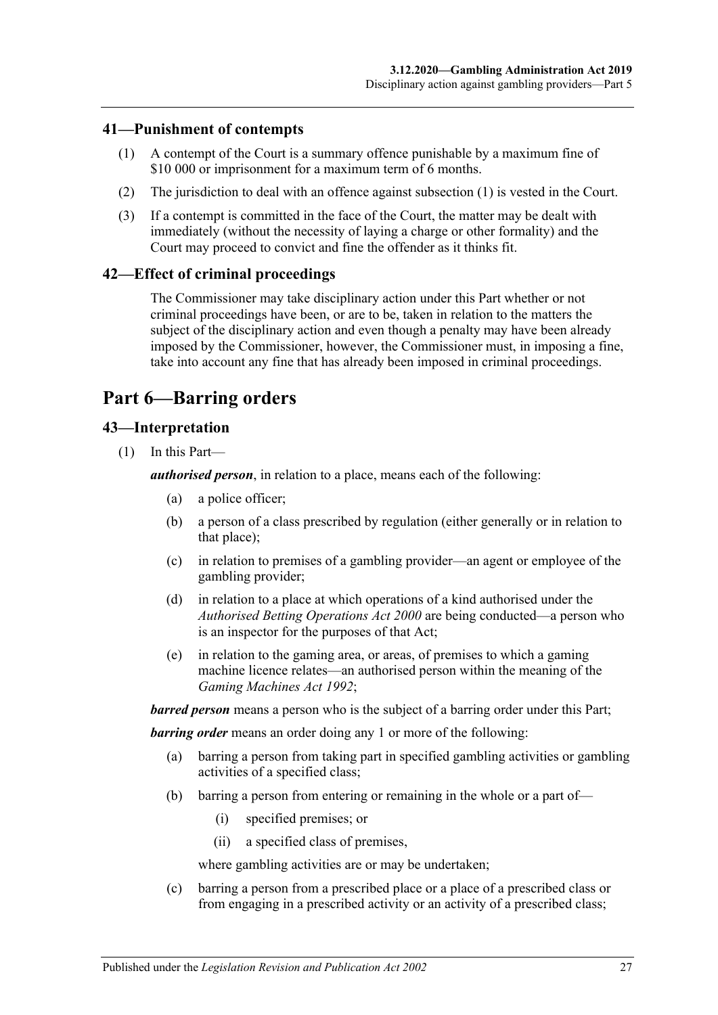### <span id="page-26-4"></span><span id="page-26-0"></span>**41—Punishment of contempts**

- (1) A contempt of the Court is a summary offence punishable by a maximum fine of \$10 000 or imprisonment for a maximum term of 6 months.
- (2) The jurisdiction to deal with an offence against [subsection](#page-26-4) (1) is vested in the Court.
- (3) If a contempt is committed in the face of the Court, the matter may be dealt with immediately (without the necessity of laying a charge or other formality) and the Court may proceed to convict and fine the offender as it thinks fit.

### <span id="page-26-1"></span>**42—Effect of criminal proceedings**

The Commissioner may take disciplinary action under this Part whether or not criminal proceedings have been, or are to be, taken in relation to the matters the subject of the disciplinary action and even though a penalty may have been already imposed by the Commissioner, however, the Commissioner must, in imposing a fine, take into account any fine that has already been imposed in criminal proceedings.

## <span id="page-26-2"></span>**Part 6—Barring orders**

### <span id="page-26-3"></span>**43—Interpretation**

(1) In this Part—

*authorised person*, in relation to a place, means each of the following:

- (a) a police officer;
- (b) a person of a class prescribed by regulation (either generally or in relation to that place);
- (c) in relation to premises of a gambling provider—an agent or employee of the gambling provider;
- (d) in relation to a place at which operations of a kind authorised under the *[Authorised Betting Operations Act](http://www.legislation.sa.gov.au/index.aspx?action=legref&type=act&legtitle=Authorised%20Betting%20Operations%20Act%202000) 2000* are being conducted—a person who is an inspector for the purposes of that Act;
- (e) in relation to the gaming area, or areas, of premises to which a gaming machine licence relates—an authorised person within the meaning of the *[Gaming Machines Act](http://www.legislation.sa.gov.au/index.aspx?action=legref&type=act&legtitle=Gaming%20Machines%20Act%201992) 1992*;

*barred person* means a person who is the subject of a barring order under this Part;

*barring order* means an order doing any 1 or more of the following:

- (a) barring a person from taking part in specified gambling activities or gambling activities of a specified class;
- (b) barring a person from entering or remaining in the whole or a part of—
	- (i) specified premises; or
	- (ii) a specified class of premises,

where gambling activities are or may be undertaken;

(c) barring a person from a prescribed place or a place of a prescribed class or from engaging in a prescribed activity or an activity of a prescribed class;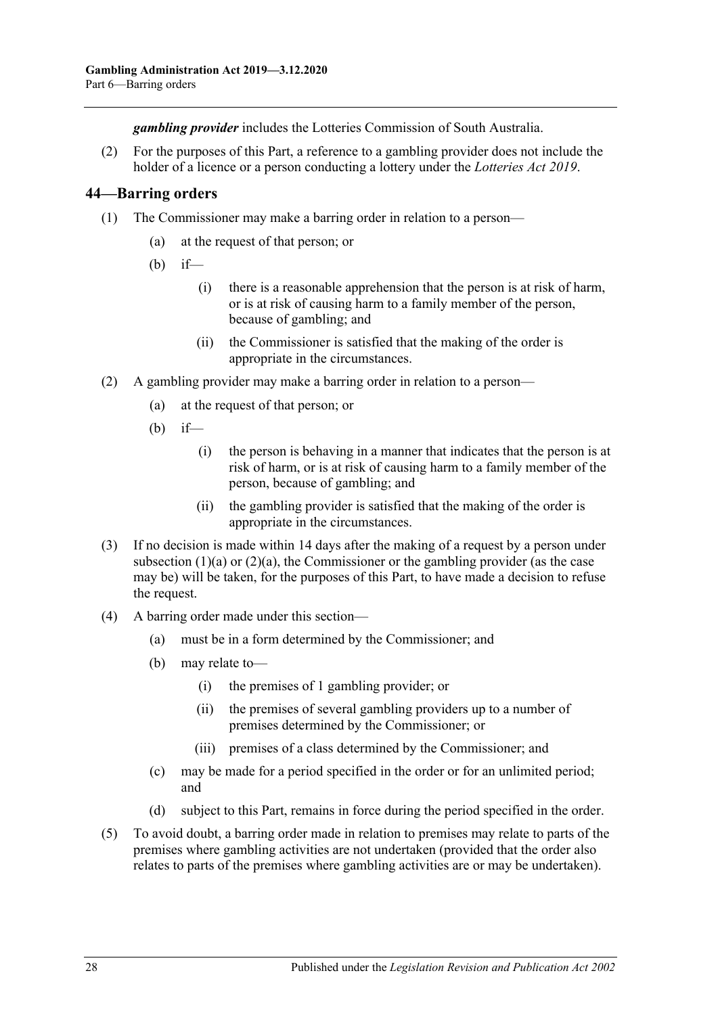*gambling provider* includes the Lotteries Commission of South Australia.

(2) For the purposes of this Part, a reference to a gambling provider does not include the holder of a licence or a person conducting a lottery under the *[Lotteries Act](http://www.legislation.sa.gov.au/index.aspx?action=legref&type=act&legtitle=Lotteries%20Act%202019) 2019*.

### <span id="page-27-0"></span>**44—Barring orders**

- <span id="page-27-1"></span>(1) The Commissioner may make a barring order in relation to a person—
	- (a) at the request of that person; or
	- $(b)$  if—
		- (i) there is a reasonable apprehension that the person is at risk of harm, or is at risk of causing harm to a family member of the person, because of gambling; and
		- (ii) the Commissioner is satisfied that the making of the order is appropriate in the circumstances.
- <span id="page-27-2"></span>(2) A gambling provider may make a barring order in relation to a person—
	- (a) at the request of that person; or
	- (b) if—
		- (i) the person is behaving in a manner that indicates that the person is at risk of harm, or is at risk of causing harm to a family member of the person, because of gambling; and
		- (ii) the gambling provider is satisfied that the making of the order is appropriate in the circumstances.
- (3) If no decision is made within 14 days after the making of a request by a person under [subsection](#page-27-1)  $(1)(a)$  or  $(2)(a)$ , the Commissioner or the gambling provider (as the case may be) will be taken, for the purposes of this Part, to have made a decision to refuse the request.
- (4) A barring order made under this section—
	- (a) must be in a form determined by the Commissioner; and
	- (b) may relate to—
		- (i) the premises of 1 gambling provider; or
		- (ii) the premises of several gambling providers up to a number of premises determined by the Commissioner; or
		- (iii) premises of a class determined by the Commissioner; and
	- (c) may be made for a period specified in the order or for an unlimited period; and
	- (d) subject to this Part, remains in force during the period specified in the order.
- (5) To avoid doubt, a barring order made in relation to premises may relate to parts of the premises where gambling activities are not undertaken (provided that the order also relates to parts of the premises where gambling activities are or may be undertaken).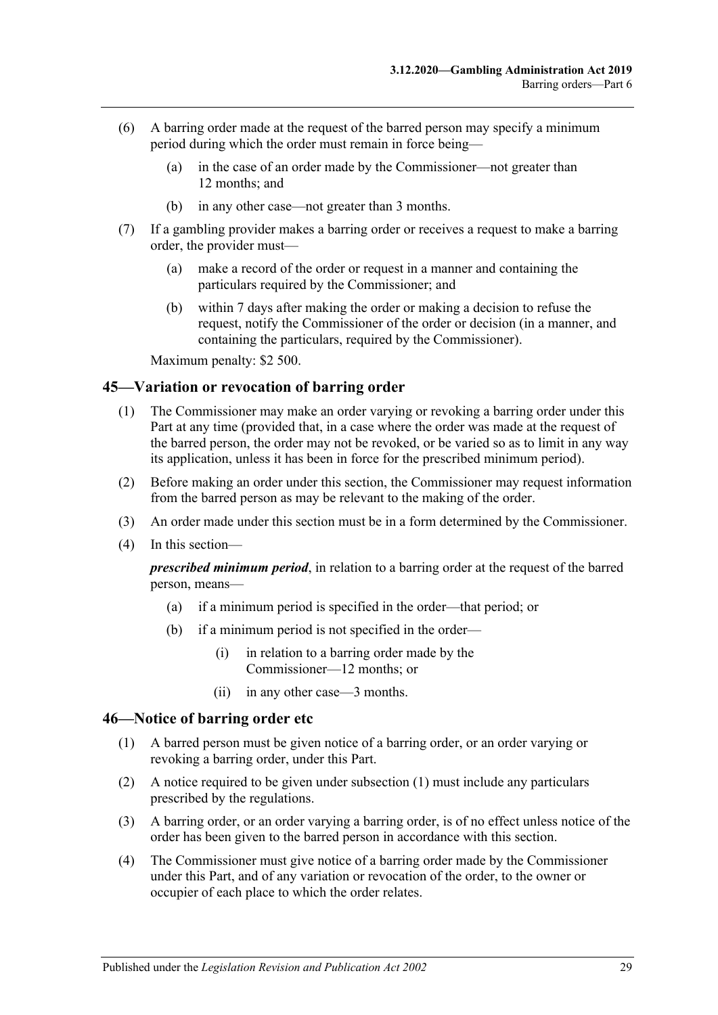- (6) A barring order made at the request of the barred person may specify a minimum period during which the order must remain in force being—
	- (a) in the case of an order made by the Commissioner—not greater than 12 months; and
	- (b) in any other case—not greater than 3 months.
- (7) If a gambling provider makes a barring order or receives a request to make a barring order, the provider must—
	- (a) make a record of the order or request in a manner and containing the particulars required by the Commissioner; and
	- (b) within 7 days after making the order or making a decision to refuse the request, notify the Commissioner of the order or decision (in a manner, and containing the particulars, required by the Commissioner).

Maximum penalty: \$2 500.

#### <span id="page-28-0"></span>**45—Variation or revocation of barring order**

- (1) The Commissioner may make an order varying or revoking a barring order under this Part at any time (provided that, in a case where the order was made at the request of the barred person, the order may not be revoked, or be varied so as to limit in any way its application, unless it has been in force for the prescribed minimum period).
- (2) Before making an order under this section, the Commissioner may request information from the barred person as may be relevant to the making of the order.
- (3) An order made under this section must be in a form determined by the Commissioner.
- (4) In this section—

*prescribed minimum period*, in relation to a barring order at the request of the barred person, means—

- (a) if a minimum period is specified in the order—that period; or
- (b) if a minimum period is not specified in the order—
	- (i) in relation to a barring order made by the Commissioner—12 months; or
	- (ii) in any other case—3 months.

#### <span id="page-28-2"></span><span id="page-28-1"></span>**46—Notice of barring order etc**

- (1) A barred person must be given notice of a barring order, or an order varying or revoking a barring order, under this Part.
- (2) A notice required to be given under [subsection](#page-28-2) (1) must include any particulars prescribed by the regulations.
- (3) A barring order, or an order varying a barring order, is of no effect unless notice of the order has been given to the barred person in accordance with this section.
- (4) The Commissioner must give notice of a barring order made by the Commissioner under this Part, and of any variation or revocation of the order, to the owner or occupier of each place to which the order relates.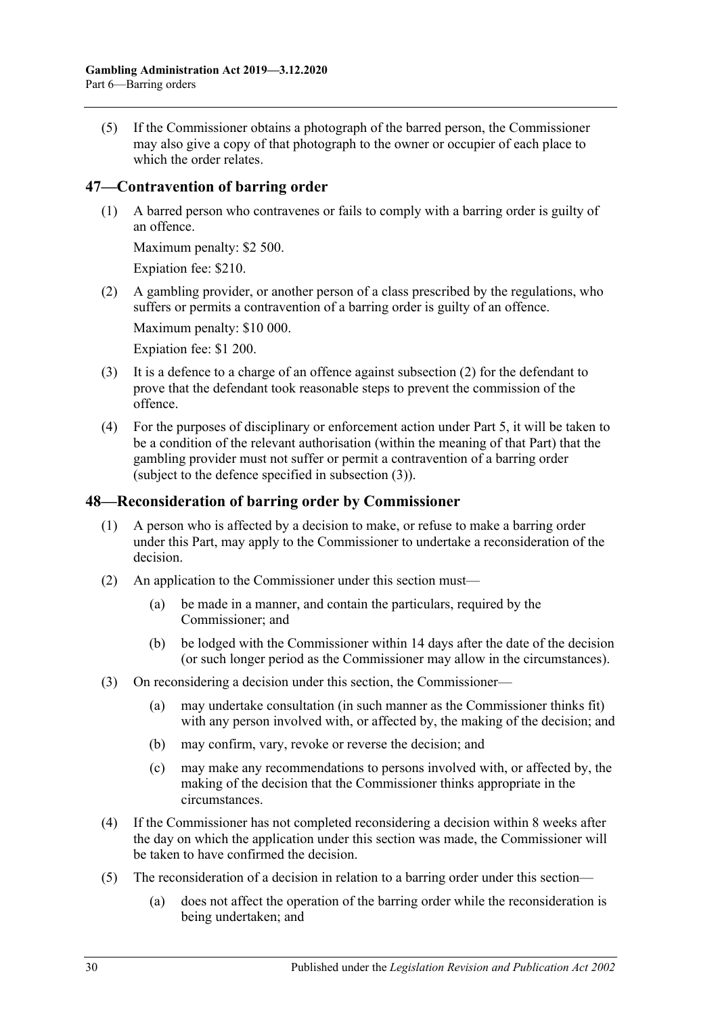(5) If the Commissioner obtains a photograph of the barred person, the Commissioner may also give a copy of that photograph to the owner or occupier of each place to which the order relates.

### <span id="page-29-0"></span>**47—Contravention of barring order**

(1) A barred person who contravenes or fails to comply with a barring order is guilty of an offence.

Maximum penalty: \$2 500.

Expiation fee: \$210.

<span id="page-29-2"></span>(2) A gambling provider, or another person of a class prescribed by the regulations, who suffers or permits a contravention of a barring order is guilty of an offence.

Maximum penalty: \$10 000.

Expiation fee: \$1 200.

- <span id="page-29-3"></span>(3) It is a defence to a charge of an offence against [subsection](#page-29-2) (2) for the defendant to prove that the defendant took reasonable steps to prevent the commission of the offence.
- (4) For the purposes of disciplinary or enforcement action under [Part](#page-21-2) 5, it will be taken to be a condition of the relevant authorisation (within the meaning of that Part) that the gambling provider must not suffer or permit a contravention of a barring order (subject to the defence specified in [subsection](#page-29-3) (3)).

### <span id="page-29-1"></span>**48—Reconsideration of barring order by Commissioner**

- (1) A person who is affected by a decision to make, or refuse to make a barring order under this Part, may apply to the Commissioner to undertake a reconsideration of the decision.
- (2) An application to the Commissioner under this section must—
	- (a) be made in a manner, and contain the particulars, required by the Commissioner; and
	- (b) be lodged with the Commissioner within 14 days after the date of the decision (or such longer period as the Commissioner may allow in the circumstances).
- (3) On reconsidering a decision under this section, the Commissioner—
	- (a) may undertake consultation (in such manner as the Commissioner thinks fit) with any person involved with, or affected by, the making of the decision; and
	- (b) may confirm, vary, revoke or reverse the decision; and
	- (c) may make any recommendations to persons involved with, or affected by, the making of the decision that the Commissioner thinks appropriate in the circumstances.
- (4) If the Commissioner has not completed reconsidering a decision within 8 weeks after the day on which the application under this section was made, the Commissioner will be taken to have confirmed the decision.
- (5) The reconsideration of a decision in relation to a barring order under this section—
	- (a) does not affect the operation of the barring order while the reconsideration is being undertaken; and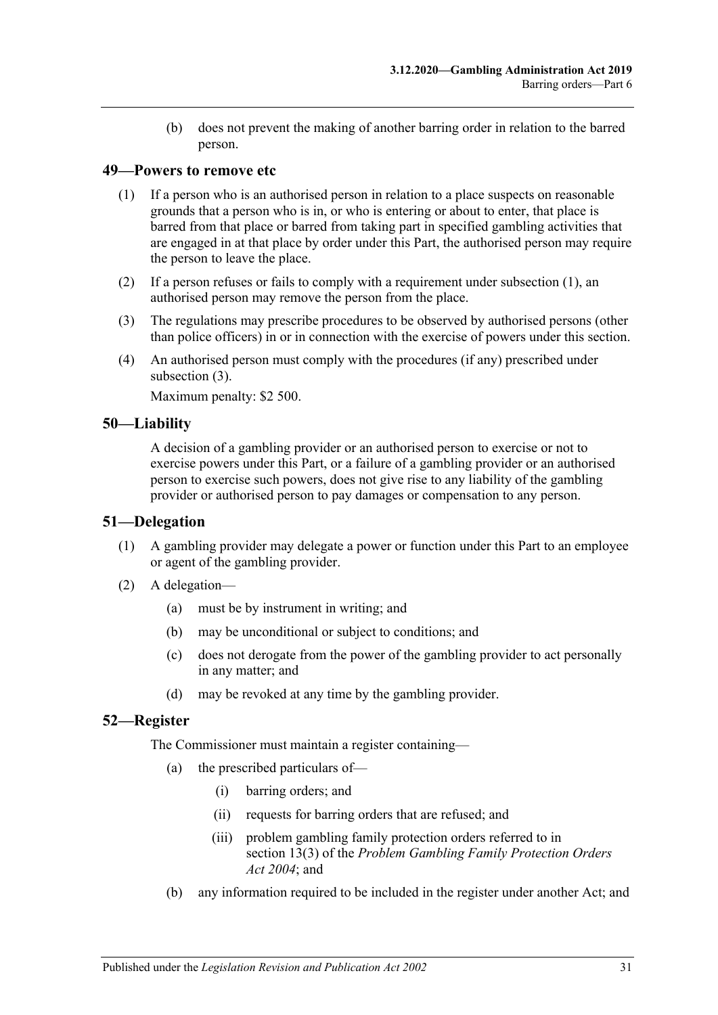(b) does not prevent the making of another barring order in relation to the barred person.

### <span id="page-30-4"></span><span id="page-30-0"></span>**49—Powers to remove etc**

- (1) If a person who is an authorised person in relation to a place suspects on reasonable grounds that a person who is in, or who is entering or about to enter, that place is barred from that place or barred from taking part in specified gambling activities that are engaged in at that place by order under this Part, the authorised person may require the person to leave the place.
- (2) If a person refuses or fails to comply with a requirement under [subsection](#page-30-4) (1), an authorised person may remove the person from the place.
- <span id="page-30-5"></span>(3) The regulations may prescribe procedures to be observed by authorised persons (other than police officers) in or in connection with the exercise of powers under this section.
- (4) An authorised person must comply with the procedures (if any) prescribed under [subsection](#page-30-5) (3).

Maximum penalty: \$2 500.

### <span id="page-30-1"></span>**50—Liability**

A decision of a gambling provider or an authorised person to exercise or not to exercise powers under this Part, or a failure of a gambling provider or an authorised person to exercise such powers, does not give rise to any liability of the gambling provider or authorised person to pay damages or compensation to any person.

#### <span id="page-30-2"></span>**51—Delegation**

- (1) A gambling provider may delegate a power or function under this Part to an employee or agent of the gambling provider.
- (2) A delegation—
	- (a) must be by instrument in writing; and
	- (b) may be unconditional or subject to conditions; and
	- (c) does not derogate from the power of the gambling provider to act personally in any matter; and
	- (d) may be revoked at any time by the gambling provider.

### <span id="page-30-3"></span>**52—Register**

The Commissioner must maintain a register containing—

- (a) the prescribed particulars of—
	- (i) barring orders; and
	- (ii) requests for barring orders that are refused; and
	- (iii) problem gambling family protection orders referred to in section 13(3) of the *[Problem Gambling Family Protection Orders](http://www.legislation.sa.gov.au/index.aspx?action=legref&type=act&legtitle=Problem%20Gambling%20Family%20Protection%20Orders%20Act%202004)  Act [2004](http://www.legislation.sa.gov.au/index.aspx?action=legref&type=act&legtitle=Problem%20Gambling%20Family%20Protection%20Orders%20Act%202004)*; and
- (b) any information required to be included in the register under another Act; and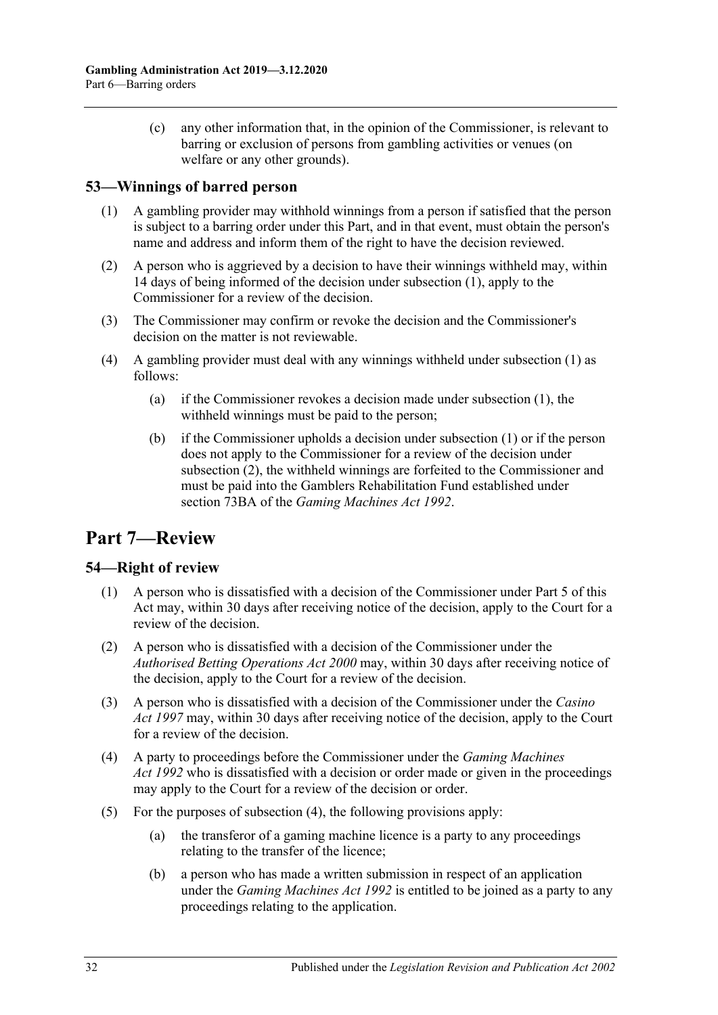(c) any other information that, in the opinion of the Commissioner, is relevant to barring or exclusion of persons from gambling activities or venues (on welfare or any other grounds).

### <span id="page-31-3"></span><span id="page-31-0"></span>**53—Winnings of barred person**

- (1) A gambling provider may withhold winnings from a person if satisfied that the person is subject to a barring order under this Part, and in that event, must obtain the person's name and address and inform them of the right to have the decision reviewed.
- <span id="page-31-4"></span>(2) A person who is aggrieved by a decision to have their winnings withheld may, within 14 days of being informed of the decision under [subsection](#page-31-3) (1), apply to the Commissioner for a review of the decision.
- (3) The Commissioner may confirm or revoke the decision and the Commissioner's decision on the matter is not reviewable.
- (4) A gambling provider must deal with any winnings withheld under [subsection](#page-31-3) (1) as follows:
	- (a) if the Commissioner revokes a decision made under [subsection](#page-31-3) (1), the withheld winnings must be paid to the person;
	- (b) if the Commissioner upholds a decision under [subsection](#page-31-3) (1) or if the person does not apply to the Commissioner for a review of the decision under [subsection](#page-31-4) (2), the withheld winnings are forfeited to the Commissioner and must be paid into the Gamblers Rehabilitation Fund established under section 73BA of the *[Gaming Machines Act](http://www.legislation.sa.gov.au/index.aspx?action=legref&type=act&legtitle=Gaming%20Machines%20Act%201992) 1992*.

## <span id="page-31-1"></span>**Part 7—Review**

### <span id="page-31-2"></span>**54—Right of review**

- (1) A person who is dissatisfied with a decision of the Commissioner under [Part](#page-21-2) 5 of this Act may, within 30 days after receiving notice of the decision, apply to the Court for a review of the decision.
- (2) A person who is dissatisfied with a decision of the Commissioner under the *[Authorised Betting Operations Act](http://www.legislation.sa.gov.au/index.aspx?action=legref&type=act&legtitle=Authorised%20Betting%20Operations%20Act%202000) 2000* may, within 30 days after receiving notice of the decision, apply to the Court for a review of the decision.
- (3) A person who is dissatisfied with a decision of the Commissioner under the *[Casino](http://www.legislation.sa.gov.au/index.aspx?action=legref&type=act&legtitle=Casino%20Act%201997)  Act [1997](http://www.legislation.sa.gov.au/index.aspx?action=legref&type=act&legtitle=Casino%20Act%201997)* may, within 30 days after receiving notice of the decision, apply to the Court for a review of the decision.
- <span id="page-31-5"></span>(4) A party to proceedings before the Commissioner under the *[Gaming Machines](http://www.legislation.sa.gov.au/index.aspx?action=legref&type=act&legtitle=Gaming%20Machines%20Act%201992)  Act [1992](http://www.legislation.sa.gov.au/index.aspx?action=legref&type=act&legtitle=Gaming%20Machines%20Act%201992)* who is dissatisfied with a decision or order made or given in the proceedings may apply to the Court for a review of the decision or order.
- (5) For the purposes of [subsection](#page-31-5) (4), the following provisions apply:
	- (a) the transferor of a gaming machine licence is a party to any proceedings relating to the transfer of the licence;
	- (b) a person who has made a written submission in respect of an application under the *[Gaming Machines Act](http://www.legislation.sa.gov.au/index.aspx?action=legref&type=act&legtitle=Gaming%20Machines%20Act%201992) 1992* is entitled to be joined as a party to any proceedings relating to the application.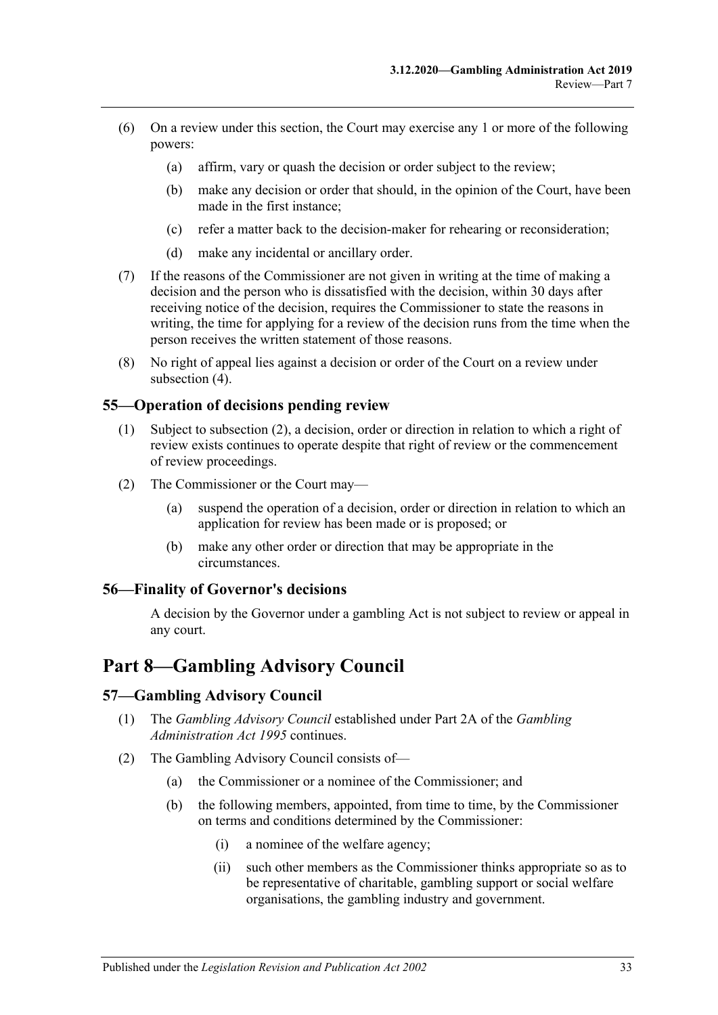- (6) On a review under this section, the Court may exercise any 1 or more of the following powers:
	- (a) affirm, vary or quash the decision or order subject to the review;
	- (b) make any decision or order that should, in the opinion of the Court, have been made in the first instance;
	- (c) refer a matter back to the decision-maker for rehearing or reconsideration;
	- (d) make any incidental or ancillary order.
- (7) If the reasons of the Commissioner are not given in writing at the time of making a decision and the person who is dissatisfied with the decision, within 30 days after receiving notice of the decision, requires the Commissioner to state the reasons in writing, the time for applying for a review of the decision runs from the time when the person receives the written statement of those reasons.
- (8) No right of appeal lies against a decision or order of the Court on a review under [subsection](#page-31-5)  $(4)$ .

### <span id="page-32-0"></span>**55—Operation of decisions pending review**

- (1) Subject to [subsection](#page-32-4) (2), a decision, order or direction in relation to which a right of review exists continues to operate despite that right of review or the commencement of review proceedings.
- <span id="page-32-4"></span>(2) The Commissioner or the Court may—
	- (a) suspend the operation of a decision, order or direction in relation to which an application for review has been made or is proposed; or
	- (b) make any other order or direction that may be appropriate in the circumstances.

### <span id="page-32-1"></span>**56—Finality of Governor's decisions**

A decision by the Governor under a gambling Act is not subject to review or appeal in any court.

## <span id="page-32-2"></span>**Part 8—Gambling Advisory Council**

#### <span id="page-32-3"></span>**57—Gambling Advisory Council**

- (1) The *Gambling Advisory Council* established under Part 2A of the *[Gambling](http://www.legislation.sa.gov.au/index.aspx?action=legref&type=act&legtitle=Gambling%20Administration%20Act%201995)  [Administration Act](http://www.legislation.sa.gov.au/index.aspx?action=legref&type=act&legtitle=Gambling%20Administration%20Act%201995) 1995* continues.
- (2) The Gambling Advisory Council consists of—
	- (a) the Commissioner or a nominee of the Commissioner; and
	- (b) the following members, appointed, from time to time, by the Commissioner on terms and conditions determined by the Commissioner:
		- (i) a nominee of the welfare agency;
		- (ii) such other members as the Commissioner thinks appropriate so as to be representative of charitable, gambling support or social welfare organisations, the gambling industry and government.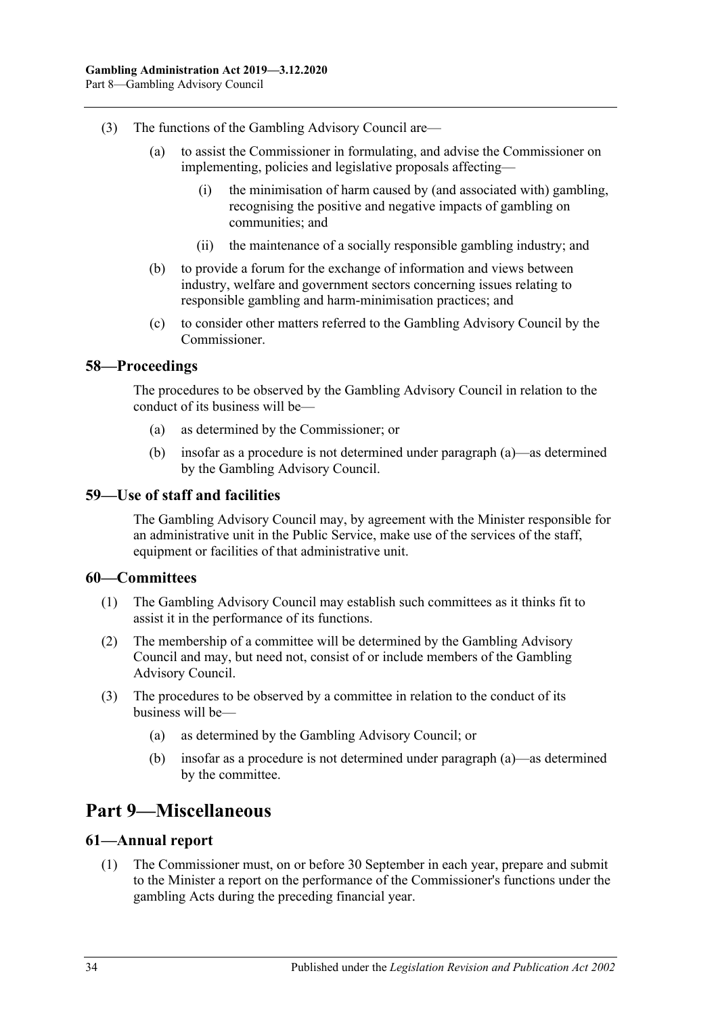- (3) The functions of the Gambling Advisory Council are—
	- (a) to assist the Commissioner in formulating, and advise the Commissioner on implementing, policies and legislative proposals affecting—
		- (i) the minimisation of harm caused by (and associated with) gambling, recognising the positive and negative impacts of gambling on communities; and
		- (ii) the maintenance of a socially responsible gambling industry; and
	- (b) to provide a forum for the exchange of information and views between industry, welfare and government sectors concerning issues relating to responsible gambling and harm-minimisation practices; and
	- (c) to consider other matters referred to the Gambling Advisory Council by the Commissioner.

### <span id="page-33-5"></span><span id="page-33-0"></span>**58—Proceedings**

The procedures to be observed by the Gambling Advisory Council in relation to the conduct of its business will be—

- (a) as determined by the Commissioner; or
- (b) insofar as a procedure is not determined under [paragraph](#page-33-5) (a)—as determined by the Gambling Advisory Council.

### <span id="page-33-1"></span>**59—Use of staff and facilities**

The Gambling Advisory Council may, by agreement with the Minister responsible for an administrative unit in the Public Service, make use of the services of the staff, equipment or facilities of that administrative unit.

### <span id="page-33-2"></span>**60—Committees**

- (1) The Gambling Advisory Council may establish such committees as it thinks fit to assist it in the performance of its functions.
- (2) The membership of a committee will be determined by the Gambling Advisory Council and may, but need not, consist of or include members of the Gambling Advisory Council.
- <span id="page-33-6"></span>(3) The procedures to be observed by a committee in relation to the conduct of its business will be—
	- (a) as determined by the Gambling Advisory Council; or
	- (b) insofar as a procedure is not determined under [paragraph](#page-33-6) (a)—as determined by the committee.

## <span id="page-33-3"></span>**Part 9—Miscellaneous**

### <span id="page-33-4"></span>**61—Annual report**

(1) The Commissioner must, on or before 30 September in each year, prepare and submit to the Minister a report on the performance of the Commissioner's functions under the gambling Acts during the preceding financial year.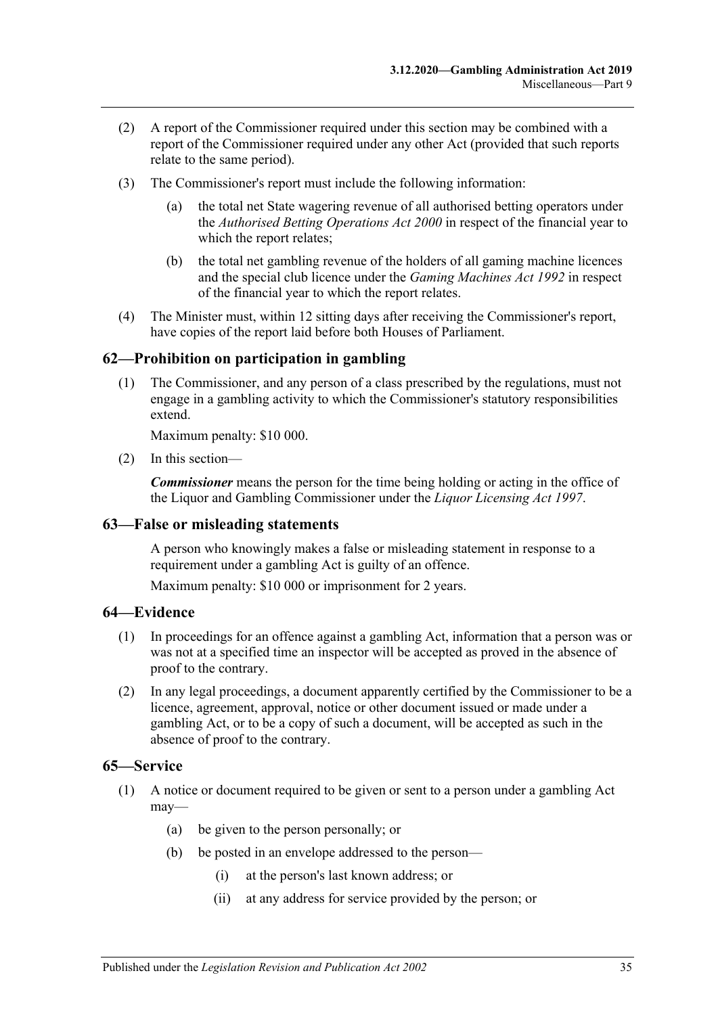- (2) A report of the Commissioner required under this section may be combined with a report of the Commissioner required under any other Act (provided that such reports relate to the same period).
- (3) The Commissioner's report must include the following information:
	- the total net State wagering revenue of all authorised betting operators under the *[Authorised Betting Operations Act](http://www.legislation.sa.gov.au/index.aspx?action=legref&type=act&legtitle=Authorised%20Betting%20Operations%20Act%202000) 2000* in respect of the financial year to which the report relates;
	- (b) the total net gambling revenue of the holders of all gaming machine licences and the special club licence under the *[Gaming Machines Act](http://www.legislation.sa.gov.au/index.aspx?action=legref&type=act&legtitle=Gaming%20Machines%20Act%201992) 1992* in respect of the financial year to which the report relates.
- (4) The Minister must, within 12 sitting days after receiving the Commissioner's report, have copies of the report laid before both Houses of Parliament.

### <span id="page-34-0"></span>**62—Prohibition on participation in gambling**

(1) The Commissioner, and any person of a class prescribed by the regulations, must not engage in a gambling activity to which the Commissioner's statutory responsibilities extend.

Maximum penalty: \$10 000.

(2) In this section—

*Commissioner* means the person for the time being holding or acting in the office of the Liquor and Gambling Commissioner under the *[Liquor Licensing Act](http://www.legislation.sa.gov.au/index.aspx?action=legref&type=act&legtitle=Liquor%20Licensing%20Act%201997) 1997*.

### <span id="page-34-1"></span>**63—False or misleading statements**

A person who knowingly makes a false or misleading statement in response to a requirement under a gambling Act is guilty of an offence.

Maximum penalty: \$10 000 or imprisonment for 2 years.

#### <span id="page-34-2"></span>**64—Evidence**

- (1) In proceedings for an offence against a gambling Act, information that a person was or was not at a specified time an inspector will be accepted as proved in the absence of proof to the contrary.
- (2) In any legal proceedings, a document apparently certified by the Commissioner to be a licence, agreement, approval, notice or other document issued or made under a gambling Act, or to be a copy of such a document, will be accepted as such in the absence of proof to the contrary.

#### <span id="page-34-4"></span><span id="page-34-3"></span>**65—Service**

- (1) A notice or document required to be given or sent to a person under a gambling Act may—
	- (a) be given to the person personally; or
	- (b) be posted in an envelope addressed to the person—
		- (i) at the person's last known address; or
		- (ii) at any address for service provided by the person; or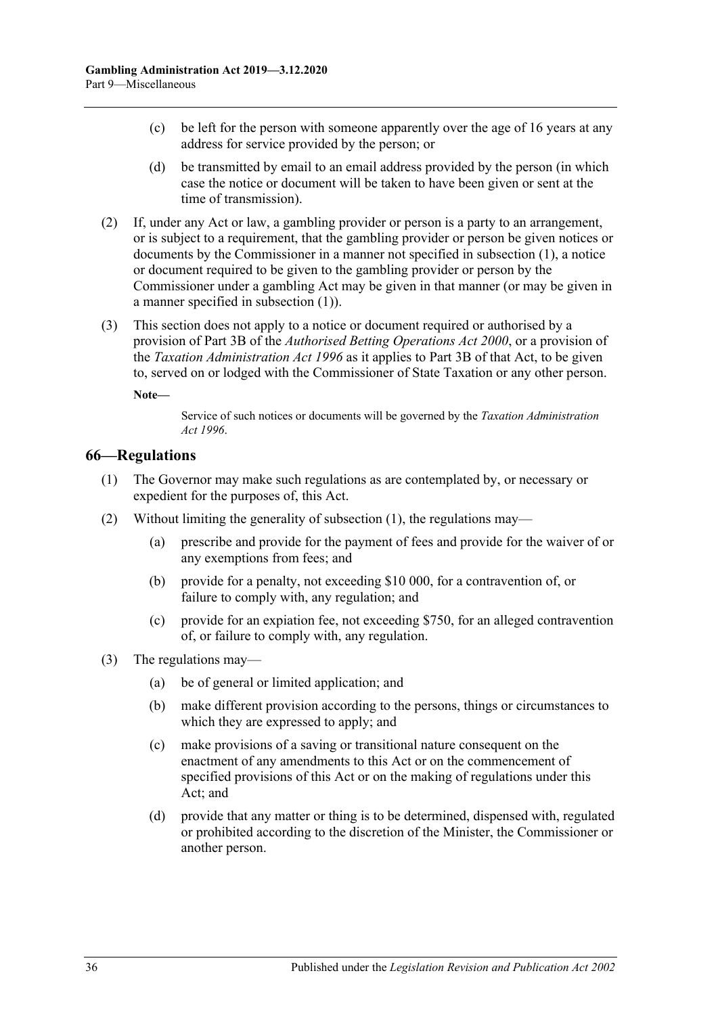- (c) be left for the person with someone apparently over the age of 16 years at any address for service provided by the person; or
- (d) be transmitted by email to an email address provided by the person (in which case the notice or document will be taken to have been given or sent at the time of transmission).
- (2) If, under any Act or law, a gambling provider or person is a party to an arrangement, or is subject to a requirement, that the gambling provider or person be given notices or documents by the Commissioner in a manner not specified in [subsection](#page-34-4) (1), a notice or document required to be given to the gambling provider or person by the Commissioner under a gambling Act may be given in that manner (or may be given in a manner specified in [subsection](#page-34-4) (1)).
- (3) This section does not apply to a notice or document required or authorised by a provision of Part 3B of the *[Authorised Betting Operations Act](http://www.legislation.sa.gov.au/index.aspx?action=legref&type=act&legtitle=Authorised%20Betting%20Operations%20Act%202000) 2000*, or a provision of the *[Taxation Administration Act](http://www.legislation.sa.gov.au/index.aspx?action=legref&type=act&legtitle=Taxation%20Administration%20Act%201996) 1996* as it applies to Part 3B of that Act, to be given to, served on or lodged with the Commissioner of State Taxation or any other person.

**Note—**

Service of such notices or documents will be governed by the *[Taxation Administration](http://www.legislation.sa.gov.au/index.aspx?action=legref&type=act&legtitle=Taxation%20Administration%20Act%201996)  Act [1996](http://www.legislation.sa.gov.au/index.aspx?action=legref&type=act&legtitle=Taxation%20Administration%20Act%201996)*.

### <span id="page-35-1"></span><span id="page-35-0"></span>**66—Regulations**

- (1) The Governor may make such regulations as are contemplated by, or necessary or expedient for the purposes of, this Act.
- (2) Without limiting the generality of [subsection](#page-35-1) (1), the regulations may—
	- (a) prescribe and provide for the payment of fees and provide for the waiver of or any exemptions from fees; and
	- (b) provide for a penalty, not exceeding \$10 000, for a contravention of, or failure to comply with, any regulation; and
	- (c) provide for an expiation fee, not exceeding \$750, for an alleged contravention of, or failure to comply with, any regulation.
- (3) The regulations may—
	- (a) be of general or limited application; and
	- (b) make different provision according to the persons, things or circumstances to which they are expressed to apply; and
	- (c) make provisions of a saving or transitional nature consequent on the enactment of any amendments to this Act or on the commencement of specified provisions of this Act or on the making of regulations under this Act; and
	- (d) provide that any matter or thing is to be determined, dispensed with, regulated or prohibited according to the discretion of the Minister, the Commissioner or another person.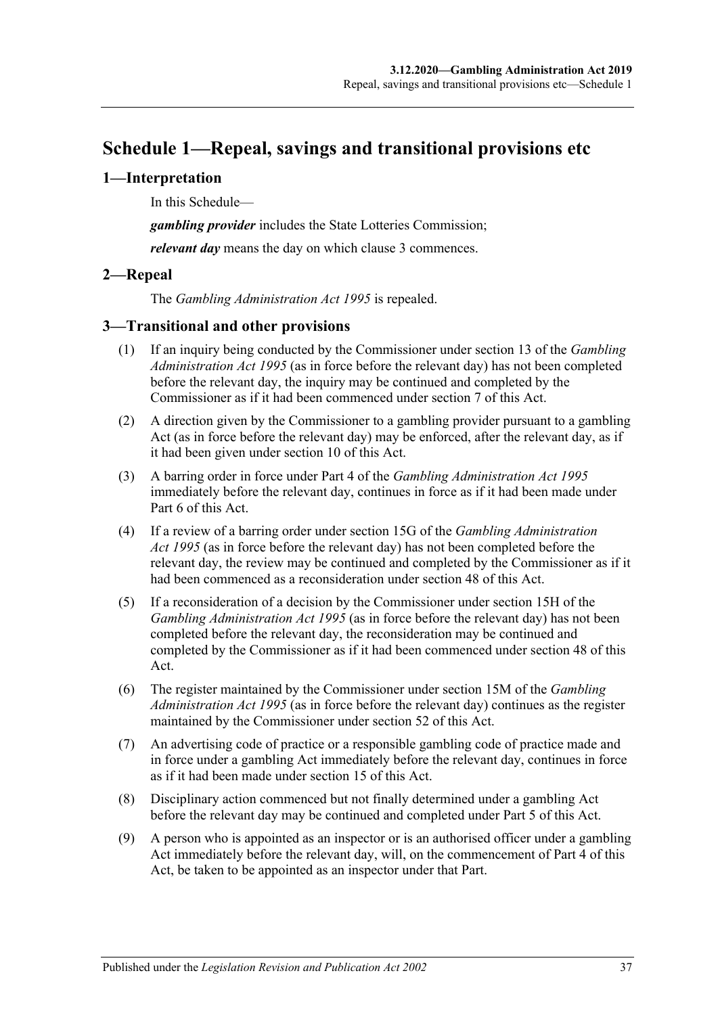# <span id="page-36-0"></span>**Schedule 1—Repeal, savings and transitional provisions etc**

### <span id="page-36-1"></span>**1—Interpretation**

In this Schedule—

*gambling provider* includes the State Lotteries Commission;

*relevant day* means the day on which [clause](#page-36-3) 3 commences.

### <span id="page-36-2"></span>**2—Repeal**

The *[Gambling Administration Act](http://www.legislation.sa.gov.au/index.aspx?action=legref&type=act&legtitle=Gambling%20Administration%20Act%201995) 1995* is repealed.

### <span id="page-36-3"></span>**3—Transitional and other provisions**

- (1) If an inquiry being conducted by the Commissioner under section 13 of the *[Gambling](http://www.legislation.sa.gov.au/index.aspx?action=legref&type=act&legtitle=Gambling%20Administration%20Act%201995)  [Administration Act](http://www.legislation.sa.gov.au/index.aspx?action=legref&type=act&legtitle=Gambling%20Administration%20Act%201995) 1995* (as in force before the relevant day) has not been completed before the relevant day, the inquiry may be continued and completed by the Commissioner as if it had been commenced under [section](#page-5-0) 7 of this Act.
- (2) A direction given by the Commissioner to a gambling provider pursuant to a gambling Act (as in force before the relevant day) may be enforced, after the relevant day, as if it had been given under [section](#page-6-1) 10 of this Act.
- (3) A barring order in force under Part 4 of the *[Gambling Administration Act](http://www.legislation.sa.gov.au/index.aspx?action=legref&type=act&legtitle=Gambling%20Administration%20Act%201995) 1995* immediately before the relevant day, continues in force as if it had been made under [Part](#page-26-2) 6 of this Act.
- (4) If a review of a barring order under section 15G of the *[Gambling Administration](http://www.legislation.sa.gov.au/index.aspx?action=legref&type=act&legtitle=Gambling%20Administration%20Act%201995)  Act [1995](http://www.legislation.sa.gov.au/index.aspx?action=legref&type=act&legtitle=Gambling%20Administration%20Act%201995)* (as in force before the relevant day) has not been completed before the relevant day, the review may be continued and completed by the Commissioner as if it had been commenced as a reconsideration under [section](#page-29-1) 48 of this Act.
- (5) If a reconsideration of a decision by the Commissioner under section 15H of the *[Gambling Administration Act](http://www.legislation.sa.gov.au/index.aspx?action=legref&type=act&legtitle=Gambling%20Administration%20Act%201995) 1995* (as in force before the relevant day) has not been completed before the relevant day, the reconsideration may be continued and completed by the Commissioner as if it had been commenced under [section](#page-29-1) 48 of this Act.
- (6) The register maintained by the Commissioner under section 15M of the *[Gambling](http://www.legislation.sa.gov.au/index.aspx?action=legref&type=act&legtitle=Gambling%20Administration%20Act%201995)  [Administration Act](http://www.legislation.sa.gov.au/index.aspx?action=legref&type=act&legtitle=Gambling%20Administration%20Act%201995) 1995* (as in force before the relevant day) continues as the register maintained by the Commissioner under [section](#page-30-3) 52 of this Act.
- (7) An advertising code of practice or a responsible gambling code of practice made and in force under a gambling Act immediately before the relevant day, continues in force as if it had been made under [section](#page-9-2) 15 of this Act.
- (8) Disciplinary action commenced but not finally determined under a gambling Act before the relevant day may be continued and completed under [Part](#page-21-2) 5 of this Act.
- (9) A person who is appointed as an inspector or is an authorised officer under a gambling Act immediately before the relevant day, will, on the commencement of [Part](#page-16-1) 4 of this Act, be taken to be appointed as an inspector under that Part.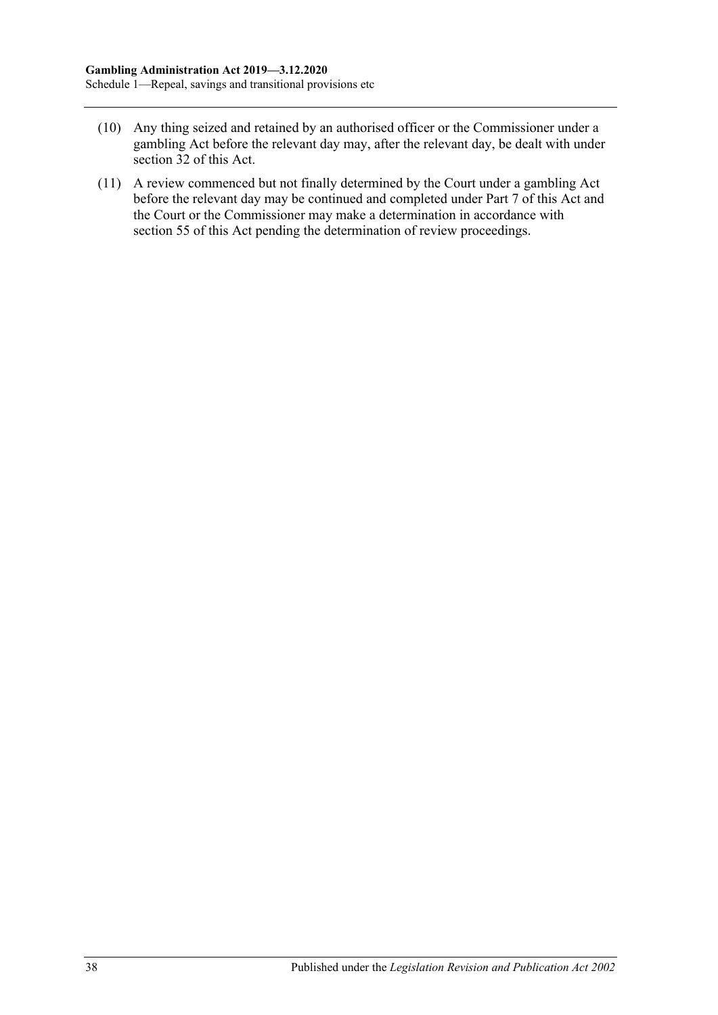- (10) Any thing seized and retained by an authorised officer or the Commissioner under a gambling Act before the relevant day may, after the relevant day, be dealt with under [section](#page-20-2) 32 of this Act.
- (11) A review commenced but not finally determined by the Court under a gambling Act before the relevant day may be continued and completed under [Part](#page-31-1) 7 of this Act and the Court or the Commissioner may make a determination in accordance with [section](#page-32-0) 55 of this Act pending the determination of review proceedings.